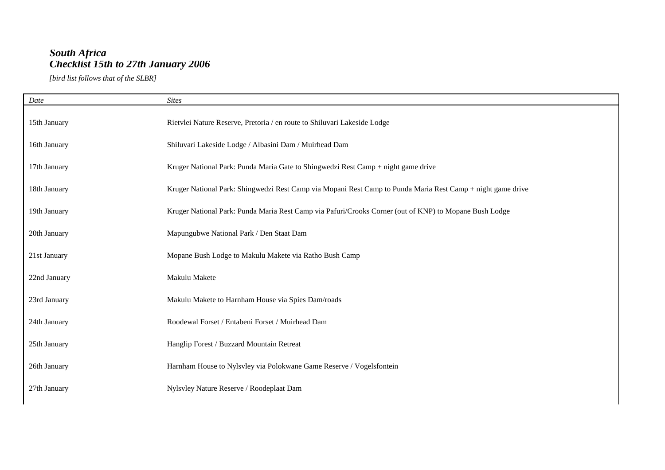## *South Africa Checklist 15th to 27th January 2006*

*[bird list follows that of the SLBR]*

| Date         | <b>Sites</b>                                                                                                |
|--------------|-------------------------------------------------------------------------------------------------------------|
| 15th January | Rietvlei Nature Reserve, Pretoria / en route to Shiluvari Lakeside Lodge                                    |
| 16th January | Shiluvari Lakeside Lodge / Albasini Dam / Muirhead Dam                                                      |
| 17th January | Kruger National Park: Punda Maria Gate to Shingwedzi Rest Camp + night game drive                           |
| 18th January | Kruger National Park: Shingwedzi Rest Camp via Mopani Rest Camp to Punda Maria Rest Camp + night game drive |
| 19th January | Kruger National Park: Punda Maria Rest Camp via Pafuri/Crooks Corner (out of KNP) to Mopane Bush Lodge      |
| 20th January | Mapungubwe National Park / Den Staat Dam                                                                    |
| 21st January | Mopane Bush Lodge to Makulu Makete via Ratho Bush Camp                                                      |
| 22nd January | Makulu Makete                                                                                               |
| 23rd January | Makulu Makete to Harnham House via Spies Dam/roads                                                          |
| 24th January | Roodewal Forset / Entabeni Forset / Muirhead Dam                                                            |
| 25th January | Hanglip Forest / Buzzard Mountain Retreat                                                                   |
| 26th January | Harnham House to Nylsvley via Polokwane Game Reserve / Vogelsfontein                                        |
| 27th January | Nylsvley Nature Reserve / Roodeplaat Dam                                                                    |
|              |                                                                                                             |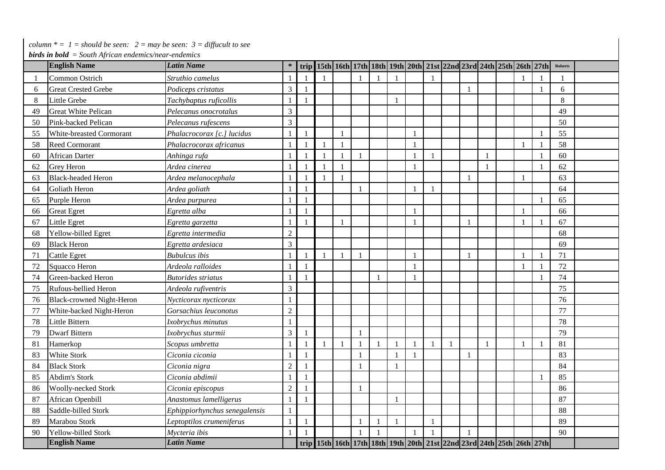*column*  $* = 1$  = *should be seen:*  $2 =$  *may be seen:*  $3 =$  *diffucult to see* 

 *birds in bold = South African endemics/near-endemics*

|    | <b><i>birus in bold – Soum African endemics/near-endemics</i></b><br><b>English Name</b> | <b>Latin Name</b>             | *              |                |              |              |              |  |              | trip   15th   16th   17th   18th   19th   20th   21st   22nd   23rd   24th   25th   26th   27th |                |              |                          | <b>Roberts</b> |  |
|----|------------------------------------------------------------------------------------------|-------------------------------|----------------|----------------|--------------|--------------|--------------|--|--------------|-------------------------------------------------------------------------------------------------|----------------|--------------|--------------------------|----------------|--|
|    | Common Ostrich                                                                           | Struthio camelus              |                | $\mathbf{1}$   |              |              |              |  | $\mathbf{1}$ |                                                                                                 |                |              |                          |                |  |
| 6  | <b>Great Crested Grebe</b>                                                               | Podiceps cristatus            | 3              | $\mathbf{1}$   |              |              |              |  |              |                                                                                                 |                |              | $\mathbf{1}$             | 6              |  |
| 8  | Little Grebe                                                                             | Tachybaptus ruficollis        |                |                |              |              |              |  |              |                                                                                                 |                |              |                          | 8              |  |
| 49 | <b>Great White Pelican</b>                                                               | Pelecanus onocrotalus         | 3              |                |              |              |              |  |              |                                                                                                 |                |              |                          | 49             |  |
| 50 | Pink-backed Pelican                                                                      | Pelecanus rufescens           | $\overline{3}$ |                |              |              |              |  |              |                                                                                                 |                |              |                          | 50             |  |
| 55 | White-breasted Cormorant                                                                 | Phalacrocorax [c.] lucidus    | $\mathbf{1}$   | $\mathbf{1}$   |              |              |              |  |              |                                                                                                 |                |              |                          | 55             |  |
| 58 | <b>Reed Cormorant</b>                                                                    | Phalacrocorax africanus       | $\mathbf{1}$   | $\mathbf{1}$   | $\mathbf{1}$ |              |              |  |              |                                                                                                 |                | $\mathbf{1}$ | $\mathbf{1}$             | 58             |  |
| 60 | <b>African Darter</b>                                                                    | Anhinga rufa                  | 1              | $\mathbf{1}$   |              |              |              |  | 1            |                                                                                                 |                |              | $\mathbf{1}$             | 60             |  |
| 62 | <b>Grey Heron</b>                                                                        | Ardea cinerea                 | -1             | $\mathbf{1}$   | -1           |              |              |  |              |                                                                                                 | $\overline{1}$ |              | $\overline{1}$           | 62             |  |
| 63 | <b>Black-headed Heron</b>                                                                | Ardea melanocephala           | -1             | $\mathbf{1}$   |              |              |              |  |              |                                                                                                 |                |              |                          | 63             |  |
| 64 | Goliath Heron                                                                            | Ardea goliath                 |                | $\mathbf{1}$   |              | $\mathbf{1}$ |              |  |              |                                                                                                 |                |              |                          | 64             |  |
| 65 | Purple Heron                                                                             | Ardea purpurea                |                | $\overline{1}$ |              |              |              |  |              |                                                                                                 |                |              | $\mathbf{1}$             | 65             |  |
| 66 | <b>Great Egret</b>                                                                       | Egretta alba                  |                |                |              |              |              |  |              |                                                                                                 |                |              |                          | 66             |  |
| 67 | Little Egret                                                                             | Egretta garzetta              |                |                |              |              |              |  |              |                                                                                                 |                |              |                          | 67             |  |
| 68 | Yellow-billed Egret                                                                      | Egretta intermedia            | $\overline{c}$ |                |              |              |              |  |              |                                                                                                 |                |              |                          | 68             |  |
| 69 | <b>Black Heron</b>                                                                       | Egretta ardesiaca             | 3              |                |              |              |              |  |              |                                                                                                 |                |              |                          | 69             |  |
| 71 | <b>Cattle Egret</b>                                                                      | <b>Bubulcus</b> ibis          | $\mathbf{1}$   | $\mathbf{1}$   |              | $\mathbf{1}$ |              |  |              |                                                                                                 |                | $\mathbf{1}$ | $\overline{1}$           | 71             |  |
| 72 | Squacco Heron                                                                            | Ardeola ralloides             |                |                |              |              |              |  |              |                                                                                                 |                |              |                          | 72             |  |
| 74 | Green-backed Heron                                                                       | <b>Butorides striatus</b>     |                |                |              |              | $\mathbf{1}$ |  |              |                                                                                                 |                |              |                          | 74             |  |
| 75 | Rufous-bellied Heron                                                                     | Ardeola rufiventris           | 3              |                |              |              |              |  |              |                                                                                                 |                |              |                          | 75             |  |
| 76 | <b>Black-crowned Night-Heron</b>                                                         | Nycticorax nycticorax         |                |                |              |              |              |  |              |                                                                                                 |                |              |                          | 76             |  |
| 77 | White-backed Night-Heron                                                                 | Gorsachius leuconotus         | $\overline{2}$ |                |              |              |              |  |              |                                                                                                 |                |              |                          | 77             |  |
| 78 | Little Bittern                                                                           | Ixobrychus minutus            |                |                |              |              |              |  |              |                                                                                                 |                |              |                          | 78             |  |
| 79 | <b>Dwarf Bittern</b>                                                                     | Ixobrychus sturmii            | 3              | $\mathbf{1}$   |              | $\mathbf{1}$ |              |  |              |                                                                                                 |                |              |                          | 79             |  |
| 81 | Hamerkop                                                                                 | Scopus umbretta               | $\mathbf{1}$   | $\mathbf{1}$   |              | $\mathbf{1}$ | $\mathbf{1}$ |  | 1            | $\overline{1}$                                                                                  |                |              | $\overline{\phantom{a}}$ | 81             |  |
| 83 | White Stork                                                                              | Ciconia ciconia               | $\mathbf{1}$   | $\mathbf{1}$   |              |              |              |  |              |                                                                                                 |                |              |                          | 83             |  |
| 84 | <b>Black Stork</b>                                                                       | Ciconia nigra                 | $\overline{2}$ | $\mathbf{1}$   |              |              |              |  |              |                                                                                                 |                |              |                          | 84             |  |
| 85 | Abdim's Stork                                                                            | Ciconia abdimii               | $\mathbf{1}$   | $\mathbf{1}$   |              |              |              |  |              |                                                                                                 |                |              | $\mathbf{1}$             | 85             |  |
| 86 | Woolly-necked Stork                                                                      | Ciconia episcopus             | $\overline{2}$ | $\mathbf{1}$   |              | $\mathbf{1}$ |              |  |              |                                                                                                 |                |              |                          | 86             |  |
| 87 | African Openbill                                                                         | Anastomus lamelligerus        | $\mathbf{1}$   | $\mathbf{1}$   |              |              |              |  |              |                                                                                                 |                |              |                          | 87             |  |
| 88 | Saddle-billed Stork                                                                      | Ephippiorhynchus senegalensis | $\mathbf{1}$   |                |              |              |              |  |              |                                                                                                 |                |              |                          | 88             |  |
| 89 | Marabou Stork                                                                            | Leptoptilos crumeniferus      | $\mathbf{1}$   | $\mathbf{1}$   |              |              | $\mathbf{1}$ |  | 1            |                                                                                                 |                |              |                          | 89             |  |
| 90 | Yellow-billed Stork                                                                      | Mycteria ibis                 | $\mathbf{1}$   | $\mathbf{1}$   |              |              |              |  | $\mathbf{1}$ |                                                                                                 |                |              |                          | 90             |  |
|    | <b>English Name</b>                                                                      | <b>Latin Name</b>             |                |                |              |              |              |  |              | trip   15th   16th   17th   18th   19th   20th   21st   22nd   23rd   24th   25th   26th   27th |                |              |                          |                |  |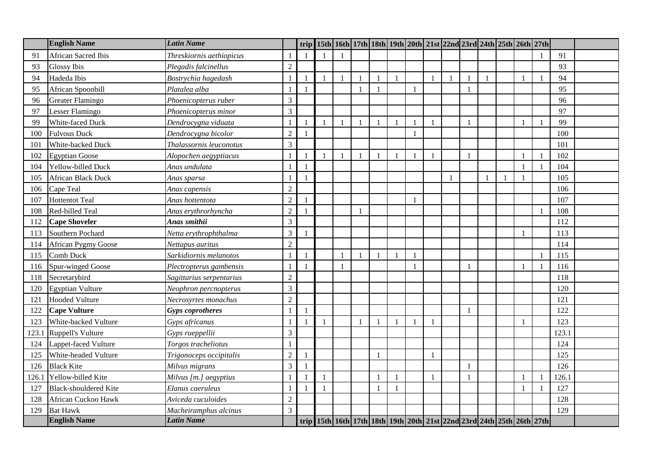|       | <b>English Name</b>          | <b>Latin Name</b>        |                  |                |  |              |                |                | trip 15th 16th 17th 18th 19th 20th 21st 22nd 23rd 24th 25th 26th 27th |              |              |              |                |       |  |
|-------|------------------------------|--------------------------|------------------|----------------|--|--------------|----------------|----------------|-----------------------------------------------------------------------|--------------|--------------|--------------|----------------|-------|--|
| 91    | African Sacred Ibis          | Threskiornis aethiopicus |                  |                |  |              |                |                |                                                                       |              |              |              |                | 91    |  |
| 93    | <b>Glossy Ibis</b>           | Plegadis falcinellus     | $\sqrt{2}$       |                |  |              |                |                |                                                                       |              |              |              |                | 93    |  |
| 94    | Hadeda Ibis                  | Bostrychia hagedash      |                  | $\overline{1}$ |  |              |                | $\blacksquare$ |                                                                       | $\mathbf{1}$ |              |              |                | 94    |  |
| 95    | African Spoonbill            | Platalea alba            | $\mathbf{1}$     | $\overline{1}$ |  | $\mathbf{1}$ | $\blacksquare$ |                |                                                                       |              |              |              |                | 95    |  |
| 96    | Greater Flamingo             | Phoenicopterus ruber     | $\mathfrak{Z}$   |                |  |              |                |                |                                                                       |              |              |              |                | 96    |  |
| 97    | Lesser Flamingo              | Phoenicopterus minor     | $\mathfrak{Z}$   |                |  |              |                |                |                                                                       |              |              |              |                | 97    |  |
| 99    | White-faced Duck             | Dendrocygna viduata      |                  |                |  |              |                | $\mathbf{1}$   |                                                                       | $\mathbf{1}$ |              |              |                | 99    |  |
| 100   | <b>Fulvous Duck</b>          | Dendrocygna bicolor      | $\overline{2}$   |                |  |              |                |                |                                                                       |              |              |              |                | 100   |  |
| 101   | White-backed Duck            | Thalassornis leuconotus  | $\mathfrak{Z}$   |                |  |              |                |                |                                                                       |              |              |              |                | 101   |  |
| 102   | <b>Egyptian Goose</b>        | Alopochen aegyptiacus    |                  |                |  |              |                |                |                                                                       | $\mathbf{1}$ |              |              |                | 102   |  |
| 104   | Yellow-billed Duck           | Anas undulata            |                  |                |  |              |                |                |                                                                       |              |              |              | $\overline{1}$ | 104   |  |
| 105   | <b>African Black Duck</b>    | Anas sparsa              | $\mathbf{1}$     | $\mathbf{1}$   |  |              |                |                |                                                                       |              |              | $\mathbf{1}$ |                | 105   |  |
| 106   | Cape Teal                    | Anas capensis            | $\boldsymbol{2}$ |                |  |              |                |                |                                                                       |              |              |              |                | 106   |  |
| 107   | <b>Hottentot Teal</b>        | Anas hottentota          | $\sqrt{2}$       |                |  |              |                |                |                                                                       |              |              |              |                | 107   |  |
| 108   | Red-billed Teal              | Anas erythrorhyncha      | $\overline{2}$   |                |  |              |                |                |                                                                       |              |              |              |                | 108   |  |
| 112   | <b>Cape Shoveler</b>         | Anas smithii             | $\overline{3}$   |                |  |              |                |                |                                                                       |              |              |              |                | 112   |  |
| 113   | Southern Pochard             | Netta erythrophthalma    | $\mathfrak{Z}$   | $\overline{1}$ |  |              |                |                |                                                                       |              |              |              |                | 113   |  |
| 114   | <b>African Pygmy Goose</b>   | Nettapus auritus         | $\overline{2}$   |                |  |              |                |                |                                                                       |              |              |              |                | 114   |  |
| 115   | Comb Duck                    | Sarkidiornis melanotos   | $\mathbf{1}$     | $\overline{1}$ |  | $\mathbf{1}$ | $\overline{1}$ | $\mathbf{1}$   |                                                                       |              |              |              |                | 115   |  |
| 116   | Spur-winged Goose            | Plectropterus gambensis  | $\mathbf{1}$     |                |  |              |                |                |                                                                       |              |              |              |                | 116   |  |
| 118   | Secretarybird                | Sagittarius serpentarius | $\sqrt{2}$       |                |  |              |                |                |                                                                       |              |              |              |                | 118   |  |
| 120   | <b>Egyptian Vulture</b>      | Neophron percnopterus    | $\mathfrak{Z}$   |                |  |              |                |                |                                                                       |              |              |              |                | 120   |  |
| 121   | <b>Hooded Vulture</b>        | Necrosyrtes monachus     | $\overline{2}$   |                |  |              |                |                |                                                                       |              |              |              |                | 121   |  |
| 122   | <b>Cape Vulture</b>          | <b>Gyps</b> coprotheres  | $\mathbf{1}$     | -1             |  |              |                |                |                                                                       |              | $\mathbf{1}$ |              |                | 122   |  |
| 123   | White-backed Vulture         | Gyps africanus           |                  |                |  |              |                |                |                                                                       | $\mathbf{1}$ |              |              |                | 123   |  |
| 123.1 | Ruppell's Vulture            | Gyps rueppellii          | $\mathfrak{Z}$   |                |  |              |                |                |                                                                       |              |              |              |                | 123.1 |  |
| 124   | Lappet-faced Vulture         | Torgos tracheliotus      | $\overline{1}$   |                |  |              |                |                |                                                                       |              |              |              |                | 124   |  |
| 125   | White-headed Vulture         | Trigonoceps occipitalis  | $\sqrt{2}$       | $\overline{1}$ |  |              | $\overline{1}$ |                |                                                                       | $\mathbf{1}$ |              |              |                | 125   |  |
| 126   | <b>Black Kite</b>            | Milvus migrans           | $\overline{3}$   |                |  |              |                |                |                                                                       |              |              |              |                | 126   |  |
| 126.1 | Yellow-billed Kite           | Milvus [m.] aegyptius    |                  |                |  |              |                |                |                                                                       | $\mathbf{1}$ |              |              |                | 126.1 |  |
| 127   | <b>Black-shouldered Kite</b> | Elanus caeruleus         |                  |                |  |              |                |                |                                                                       |              |              |              |                | 127   |  |
| 128   | African Cuckoo Hawk          | Aviceda cuculoides       | $\overline{2}$   |                |  |              |                |                |                                                                       |              |              |              |                | 128   |  |
| 129   | <b>Bat Hawk</b>              | Macheiramphus alcinus    | 3                |                |  |              |                |                |                                                                       |              |              |              |                | 129   |  |
|       | <b>English Name</b>          | <b>Latin Name</b>        |                  |                |  |              |                |                | trip 15th 16th 17th 18th 19th 20th 21st 22nd 23rd 24th 25th 26th 27th |              |              |              |                |       |  |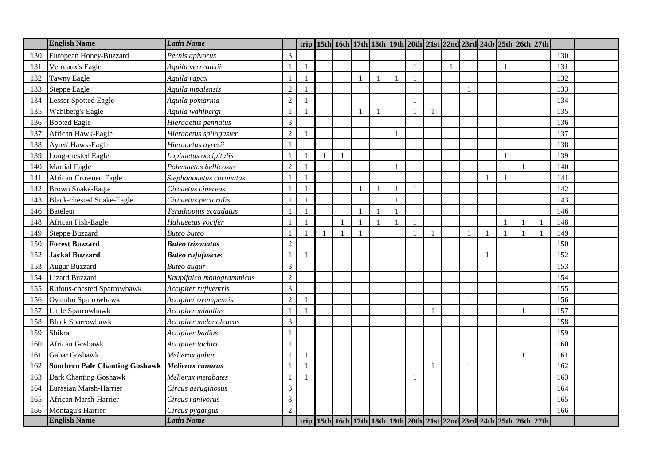|     | <b>English Name</b>                   | <b>Latin Name</b>        |                |                |  |              |  |              |    |                          |              | trip 15th 16th 17th 18th 19th 20th 21st 22nd 23rd 24th 25th 26th 27th |     |  |
|-----|---------------------------------------|--------------------------|----------------|----------------|--|--------------|--|--------------|----|--------------------------|--------------|-----------------------------------------------------------------------|-----|--|
| 130 | European Honey-Buzzard                | Pernis apivorus          | 3              |                |  |              |  |              |    |                          |              |                                                                       | 130 |  |
| 131 | Verreaux's Eagle                      | Aquila verreauxii        |                | $\overline{1}$ |  |              |  |              | -1 |                          | $\mathbf{1}$ |                                                                       | 131 |  |
| 132 | <b>Tawny Eagle</b>                    | Aquila rapax             |                |                |  |              |  |              |    |                          |              |                                                                       | 132 |  |
| 133 | <b>Steppe Eagle</b>                   | Aquila nipalensis        | $\sqrt{2}$     |                |  |              |  |              |    |                          |              |                                                                       | 133 |  |
| 134 | <b>Lesser Spotted Eagle</b>           | Aquila pomarina          | $\overline{2}$ |                |  |              |  |              |    |                          |              |                                                                       | 134 |  |
| 135 | Wahlberg's Eagle                      | Aquila wahlbergi         |                |                |  |              |  | $\mathbf{1}$ |    |                          |              |                                                                       | 135 |  |
| 136 | <b>Booted Eagle</b>                   | Hieraaetus pennatus      | 3              |                |  |              |  |              |    |                          |              |                                                                       | 136 |  |
| 137 | African Hawk-Eagle                    | Hieraaetus spilogaster   | $\overline{2}$ |                |  |              |  |              |    |                          |              |                                                                       | 137 |  |
| 138 | Ayres' Hawk-Eagle                     | Hieraaetus ayresii       |                |                |  |              |  |              |    |                          |              |                                                                       | 138 |  |
| 139 | Long-crested Eagle                    | Lophaetus occipitalis    |                |                |  |              |  |              |    |                          | $\mathbf{1}$ |                                                                       | 139 |  |
| 140 | <b>Martial Eagle</b>                  | Polemaetus bellicosus    | $\overline{c}$ |                |  |              |  |              |    |                          |              |                                                                       | 140 |  |
| 141 | <b>African Crowned Eagle</b>          | Stephanoaetus coronatus  |                |                |  |              |  |              |    |                          | $\mathbf{1}$ |                                                                       | 141 |  |
| 142 | <b>Brown Snake-Eagle</b>              | Circaetus cinereus       |                |                |  | $\mathbf{1}$ |  |              |    |                          |              |                                                                       | 142 |  |
| 143 | <b>Black-chested Snake-Eagle</b>      | Circaetus pectoralis     |                |                |  |              |  |              |    |                          |              |                                                                       | 143 |  |
| 146 | <b>Bateleur</b>                       | Terathopius ecaudatus    |                |                |  |              |  |              |    |                          |              |                                                                       | 146 |  |
| 148 | African Fish-Eagle                    | Haliaeetus vocifer       |                |                |  |              |  |              |    |                          |              |                                                                       | 148 |  |
| 149 | <b>Steppe Buzzard</b>                 | <b>Buteo</b> buteo       |                |                |  | $\mathbf{1}$ |  | $\mathbf{1}$ |    |                          | $\mathbf{1}$ |                                                                       | 149 |  |
| 150 | <b>Forest Buzzard</b>                 | <b>Buteo trizonatus</b>  | $\mathfrak{2}$ |                |  |              |  |              |    |                          |              |                                                                       | 150 |  |
| 152 | <b>Jackal Buzzard</b>                 | <b>Buteo rufofuscus</b>  |                | $\mathbf{1}$   |  |              |  |              |    |                          |              |                                                                       | 152 |  |
| 153 | <b>Augur Buzzard</b>                  | <b>Buteo</b> augur       | 3              |                |  |              |  |              |    |                          |              |                                                                       | 153 |  |
| 154 | <b>Lizard Buzzard</b>                 | Kaupifalco monogrammicus | $\overline{c}$ |                |  |              |  |              |    |                          |              |                                                                       | 154 |  |
| 155 | Rufous-chested Sparrowhawk            | Accipiter rufiventris    | $\overline{3}$ |                |  |              |  |              |    |                          |              |                                                                       | 155 |  |
| 156 | Ovambo Sparrowhawk                    | Accipiter ovampensis     | $\overline{2}$ |                |  |              |  |              |    | $\mathbf{1}$             |              |                                                                       | 156 |  |
| 157 | Little Sparrowhawk                    | Accipiter minullus       |                |                |  |              |  | $\mathbf{1}$ |    |                          |              |                                                                       | 157 |  |
| 158 | <b>Black Sparrowhawk</b>              | Accipiter melanoleucus   | 3              |                |  |              |  |              |    |                          |              |                                                                       | 158 |  |
| 159 | Shikra                                | Accipiter badius         |                |                |  |              |  |              |    |                          |              |                                                                       | 159 |  |
| 160 | African Goshawk                       | Accipiter tachiro        |                |                |  |              |  |              |    |                          |              |                                                                       | 160 |  |
| 161 | Gabar Goshawk                         | Melierax gabar           |                |                |  |              |  |              |    |                          |              |                                                                       | 161 |  |
| 162 | <b>Southern Pale Chanting Goshawk</b> | Melierax canorus         |                |                |  |              |  | $\mathbf{1}$ |    | $\overline{\phantom{a}}$ |              |                                                                       | 162 |  |
| 163 | Dark Chanting Goshawk                 | Melierax metabates       |                |                |  |              |  |              |    |                          |              |                                                                       | 163 |  |
| 164 | Eurasian Marsh-Harrier                | Circus aeruginosus       | 3              |                |  |              |  |              |    |                          |              |                                                                       | 164 |  |
| 165 | African Marsh-Harrier                 | Circus ranivorus         | 3              |                |  |              |  |              |    |                          |              |                                                                       | 165 |  |
| 166 | Montagu's Harrier                     | Circus pygargus          | $\overline{2}$ |                |  |              |  |              |    |                          |              |                                                                       | 166 |  |
|     | <b>English Name</b>                   | <b>Latin Name</b>        |                |                |  |              |  |              |    |                          |              | trip 15th 16th 17th 18th 19th 20th 21st 22nd 23rd 24th 25th 26th 27th |     |  |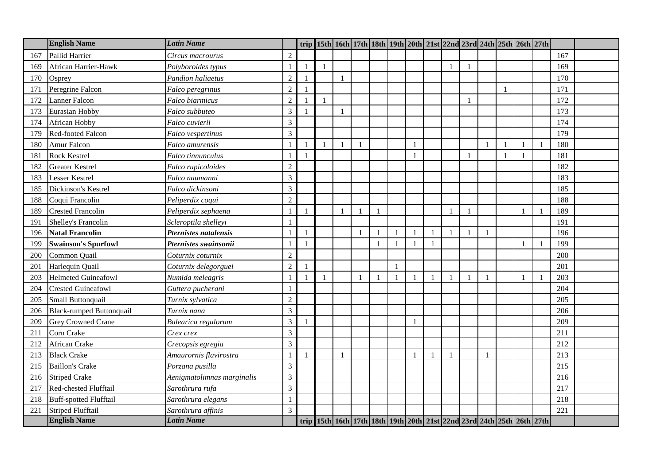|     | <b>English Name</b>             | <b>Latin Name</b>          |                |              |  |              |    |              |                |              |                |              |              | trip 15th 16th 17th 18th 19th 20th 21st 22nd 23rd 24th 25th 26th 27th |                |     |  |
|-----|---------------------------------|----------------------------|----------------|--------------|--|--------------|----|--------------|----------------|--------------|----------------|--------------|--------------|-----------------------------------------------------------------------|----------------|-----|--|
| 167 | Pallid Harrier                  | Circus macrourus           | $\overline{2}$ |              |  |              |    |              |                |              |                |              |              |                                                                       |                | 167 |  |
| 169 | African Harrier-Hawk            | Polyboroides typus         |                | $\mathbf{1}$ |  |              |    |              |                |              | $\blacksquare$ | $\mathbf{1}$ |              |                                                                       |                | 169 |  |
| 170 | Osprey                          | Pandion haliaetus          | $\overline{2}$ |              |  |              |    |              |                |              |                |              |              |                                                                       |                | 170 |  |
| 171 | Peregrine Falcon                | Falco peregrinus           | $\overline{c}$ |              |  |              |    |              |                |              |                |              | $\mathbf{1}$ |                                                                       |                | 171 |  |
| 172 | <b>Lanner Falcon</b>            | Falco biarmicus            | $\mathfrak{2}$ |              |  |              |    |              |                |              |                | $\mathbf{1}$ |              |                                                                       |                | 172 |  |
| 173 | Eurasian Hobby                  | Falco subbuteo             | 3              |              |  |              |    |              |                |              |                |              |              |                                                                       |                | 173 |  |
| 174 | African Hobby                   | Falco cuvierii             | 3              |              |  |              |    |              |                |              |                |              |              |                                                                       |                | 174 |  |
| 179 | Red-footed Falcon               | Falco vespertinus          | 3              |              |  |              |    |              |                |              |                |              |              |                                                                       |                | 179 |  |
| 180 | Amur Falcon                     | Falco amurensis            |                |              |  | $\mathbf{1}$ |    |              | $\overline{1}$ |              |                |              | $\mathbf{1}$ |                                                                       | $\overline{1}$ | 180 |  |
| 181 | <b>Rock Kestrel</b>             | Falco tinnunculus          |                |              |  |              |    |              |                |              |                |              | $\mathbf{1}$ |                                                                       |                | 181 |  |
| 182 | <b>Greater Kestrel</b>          | Falco rupicoloides         | $\overline{2}$ |              |  |              |    |              |                |              |                |              |              |                                                                       |                | 182 |  |
| 183 | <b>Lesser Kestrel</b>           | Falco naumanni             | 3              |              |  |              |    |              |                |              |                |              |              |                                                                       |                | 183 |  |
| 185 | Dickinson's Kestrel             | Falco dickinsoni           | 3              |              |  |              |    |              |                |              |                |              |              |                                                                       |                | 185 |  |
| 188 | Coqui Francolin                 | Peliperdix coqui           | $\sqrt{2}$     |              |  |              |    |              |                |              |                |              |              |                                                                       |                | 188 |  |
| 189 | <b>Crested Francolin</b>        | Peliperdix sephaena        |                |              |  |              |    |              |                |              |                |              |              |                                                                       |                | 189 |  |
| 191 | Shelley's Francolin             | Scleroptila shelleyi       |                |              |  |              |    |              |                |              |                |              |              |                                                                       |                | 191 |  |
| 196 | <b>Natal Francolin</b>          | Pternistes natalensis      |                |              |  |              |    |              |                | $\mathbf{1}$ | $\mathbf{1}$   |              |              |                                                                       |                | 196 |  |
| 199 | <b>Swainson's Spurfowl</b>      | Pternistes swainsonii      |                |              |  |              | -1 | $\mathbf{1}$ |                | $\mathbf{1}$ |                |              |              |                                                                       |                | 199 |  |
| 200 | Common Quail                    | Coturnix coturnix          | $\overline{c}$ |              |  |              |    |              |                |              |                |              |              |                                                                       |                | 200 |  |
| 201 | Harlequin Quail                 | Coturnix delegorguei       | $\overline{c}$ |              |  |              |    |              |                |              |                |              |              |                                                                       |                | 201 |  |
| 203 | <b>Helmeted Guineafowl</b>      | Numida meleagris           |                |              |  |              |    |              |                | $\mathbf{1}$ |                | $\mathbf{1}$ |              |                                                                       |                | 203 |  |
| 204 | <b>Crested Guineafowl</b>       | Guttera pucherani          |                |              |  |              |    |              |                |              |                |              |              |                                                                       |                | 204 |  |
| 205 | Small Buttonquail               | Turnix sylvatica           | $\overline{2}$ |              |  |              |    |              |                |              |                |              |              |                                                                       |                | 205 |  |
| 206 | <b>Black-rumped Buttonquail</b> | Turnix nana                | 3              |              |  |              |    |              |                |              |                |              |              |                                                                       |                | 206 |  |
| 209 | <b>Grey Crowned Crane</b>       | Balearica regulorum        | 3              |              |  |              |    |              |                |              |                |              |              |                                                                       |                | 209 |  |
| 211 | Corn Crake                      | Crex crex                  | 3              |              |  |              |    |              |                |              |                |              |              |                                                                       |                | 211 |  |
| 212 | African Crake                   | Crecopsis egregia          | 3              |              |  |              |    |              |                |              |                |              |              |                                                                       |                | 212 |  |
| 213 | <b>Black Crake</b>              | Amaurornis flavirostra     |                |              |  |              |    |              | $\overline{1}$ | $\mathbf{1}$ |                |              |              |                                                                       |                | 213 |  |
| 215 | <b>Baillon's Crake</b>          | Porzana pusilla            | 3              |              |  |              |    |              |                |              |                |              |              |                                                                       |                | 215 |  |
| 216 | <b>Striped Crake</b>            | Aenigmatolimnas marginalis | 3              |              |  |              |    |              |                |              |                |              |              |                                                                       |                | 216 |  |
| 217 | Red-chested Flufftail           | Sarothrura rufa            | 3              |              |  |              |    |              |                |              |                |              |              |                                                                       |                | 217 |  |
| 218 | <b>Buff-spotted Flufftail</b>   | Sarothrura elegans         |                |              |  |              |    |              |                |              |                |              |              |                                                                       |                | 218 |  |
| 221 | <b>Striped Flufftail</b>        | Sarothrura affinis         | 3              |              |  |              |    |              |                |              |                |              |              |                                                                       |                | 221 |  |
|     | <b>English Name</b>             | <b>Latin Name</b>          |                |              |  |              |    |              |                |              |                |              |              | trip 15th 16th 17th 18th 19th 20th 21st 22nd 23rd 24th 25th 26th 27th |                |     |  |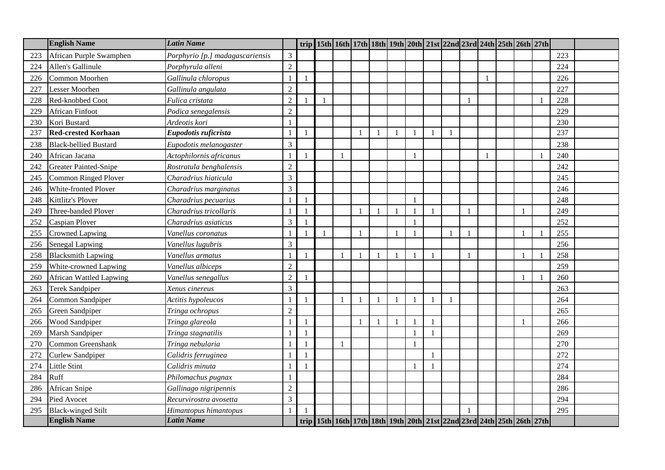|     | <b>English Name</b>            | <b>Latin Name</b>               |                | trip 15th 16th 17th 18th 19th 20th 21st 22nd 23rd 24th 25th 26th 27th |              |              |                |   |                          |  |  |     |  |
|-----|--------------------------------|---------------------------------|----------------|-----------------------------------------------------------------------|--------------|--------------|----------------|---|--------------------------|--|--|-----|--|
| 223 | African Purple Swamphen        | Porphyrio [p.] madagascariensis | 3              |                                                                       |              |              |                |   |                          |  |  | 223 |  |
| 224 | Allen's Gallinule              | Porphyrula alleni               | $\sqrt{2}$     |                                                                       |              |              |                |   |                          |  |  | 224 |  |
| 226 | Common Moorhen                 | Gallinula chloropus             |                |                                                                       |              |              |                |   |                          |  |  | 226 |  |
| 227 | <b>Lesser Moorhen</b>          | Gallinula angulata              | $\overline{2}$ |                                                                       |              |              |                |   |                          |  |  | 227 |  |
| 228 | Red-knobbed Coot               | Fulica cristata                 | $\overline{c}$ |                                                                       |              |              |                |   | $\mathbf{1}$             |  |  | 228 |  |
| 229 | <b>African Finfoot</b>         | Podica senegalensis             | $\overline{c}$ |                                                                       |              |              |                |   |                          |  |  | 229 |  |
| 230 | Kori Bustard                   | Ardeotis kori                   |                |                                                                       |              |              |                |   |                          |  |  | 230 |  |
| 237 | <b>Red-crested Korhaan</b>     | Eupodotis ruficrista            |                |                                                                       |              |              | $\mathbf{1}$   | 1 |                          |  |  | 237 |  |
| 238 | <b>Black-bellied Bustard</b>   | Eupodotis melanogaster          | 3              |                                                                       |              |              |                |   |                          |  |  | 238 |  |
| 240 | African Jacana                 | Actophilornis africanus         |                |                                                                       |              |              |                |   |                          |  |  | 240 |  |
| 242 | Greater Painted-Snipe          | Rostratula benghalensis         | $\overline{2}$ |                                                                       |              |              |                |   |                          |  |  | 242 |  |
| 245 | <b>Common Ringed Plover</b>    | Charadrius hiaticula            | 3              |                                                                       |              |              |                |   |                          |  |  | 245 |  |
| 246 | White-fronted Plover           | Charadrius marginatus           | 3              |                                                                       |              |              |                |   |                          |  |  | 246 |  |
| 248 | Kittlitz's Plover              | Charadrius pecuarius            |                |                                                                       |              |              |                |   |                          |  |  | 248 |  |
| 249 | Three-banded Plover            | Charadrius tricollaris          |                |                                                                       |              |              | $\mathbf{1}$   |   |                          |  |  | 249 |  |
| 252 | Caspian Plover                 | Charadrius asiaticus            | 3              |                                                                       |              |              |                |   |                          |  |  | 252 |  |
| 255 | Crowned Lapwing                | Vanellus coronatus              |                |                                                                       | $\mathbf{1}$ |              |                |   | $\overline{1}$           |  |  | 255 |  |
| 256 | Senegal Lapwing                | Vanellus lugubris               | 3              |                                                                       |              |              |                |   |                          |  |  | 256 |  |
| 258 | <b>Blacksmith Lapwing</b>      | Vanellus armatus                |                |                                                                       |              | $\mathbf{1}$ | $\overline{1}$ |   | $\overline{\phantom{a}}$ |  |  | 258 |  |
| 259 | White-crowned Lapwing          | Vanellus albiceps               | $\overline{c}$ |                                                                       |              |              |                |   |                          |  |  | 259 |  |
| 260 | <b>African Wattled Lapwing</b> | Vanellus senegallus             | $\overline{c}$ |                                                                       |              |              |                |   |                          |  |  | 260 |  |
| 263 | <b>Terek Sandpiper</b>         | Xenus cinereus                  | 3              |                                                                       |              |              |                |   |                          |  |  | 263 |  |
| 264 | Common Sandpiper               | Actitis hypoleucos              |                |                                                                       |              |              | $\mathbf{1}$   |   |                          |  |  | 264 |  |
| 265 | Green Sandpiper                | Tringa ochropus                 | 2              |                                                                       |              |              |                |   |                          |  |  | 265 |  |
| 266 | Wood Sandpiper                 | Tringa glareola                 |                |                                                                       |              |              | $\mathbf{1}$   |   |                          |  |  | 266 |  |
| 269 | <b>Marsh Sandpiper</b>         | Tringa stagnatilis              |                |                                                                       |              |              | $\mathbf{1}$   |   |                          |  |  | 269 |  |
| 270 | Common Greenshank              | Tringa nebularia                |                |                                                                       |              |              |                |   |                          |  |  | 270 |  |
| 272 | Curlew Sandpiper               | Calidris ferruginea             |                |                                                                       |              |              | $\overline{1}$ |   |                          |  |  | 272 |  |
| 274 | Little Stint                   | Calidris minuta                 |                |                                                                       |              |              | 1              |   |                          |  |  | 274 |  |
| 284 | Ruff                           | Philomachus pugnax              |                |                                                                       |              |              |                |   |                          |  |  | 284 |  |
| 286 | <b>African Snipe</b>           | Gallinago nigripennis           | $\overline{2}$ |                                                                       |              |              |                |   |                          |  |  | 286 |  |
| 294 | Pied Avocet                    | Recurvirostra avosetta          | 3              |                                                                       |              |              |                |   |                          |  |  | 294 |  |
| 295 | <b>Black-winged Stilt</b>      | Himantopus himantopus           |                |                                                                       |              |              |                |   |                          |  |  | 295 |  |
|     | <b>English Name</b>            | <b>Latin Name</b>               |                | trip 15th 16th 17th 18th 19th 20th 21st 22nd 23rd 24th 25th 26th 27th |              |              |                |   |                          |  |  |     |  |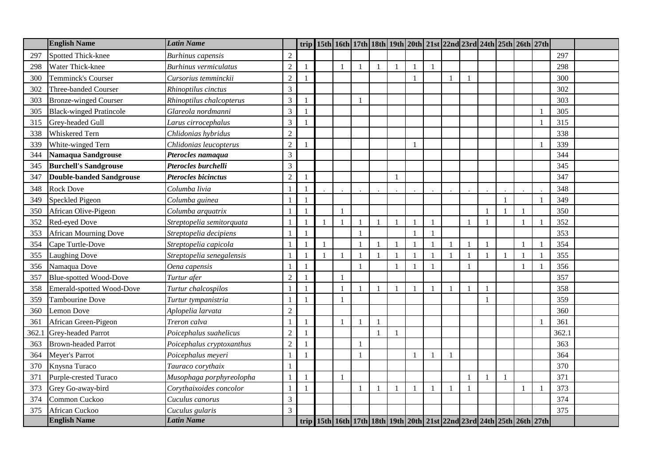|       | <b>English Name</b>             | <b>Latin Name</b>            |                |                |  |              |                |              | trip 15th 16th 17th 18th 19th 20th 21st 22nd 23rd 24th 25th 26th 27th |                         |                |              |                |       |  |
|-------|---------------------------------|------------------------------|----------------|----------------|--|--------------|----------------|--------------|-----------------------------------------------------------------------|-------------------------|----------------|--------------|----------------|-------|--|
| 297   | <b>Spotted Thick-knee</b>       | <b>Burhinus</b> capensis     | $\overline{2}$ |                |  |              |                |              |                                                                       |                         |                |              |                | 297   |  |
| 298   | Water Thick-knee                | <b>Burhinus vermiculatus</b> | $\overline{c}$ |                |  |              |                |              | $\mathbf{1}$                                                          |                         |                |              |                | 298   |  |
| 300   | Temminck's Courser              | Cursorius temminckii         | $\overline{2}$ |                |  |              |                |              |                                                                       |                         |                |              |                | 300   |  |
| 302   | Three-banded Courser            | Rhinoptilus cinctus          | 3              |                |  |              |                |              |                                                                       |                         |                |              |                | 302   |  |
| 303   | <b>Bronze-winged Courser</b>    | Rhinoptilus chalcopterus     | $\mathfrak{Z}$ |                |  | 1            |                |              |                                                                       |                         |                |              |                | 303   |  |
| 305   | <b>Black-winged Pratincole</b>  | Glareola nordmanni           | 3              |                |  |              |                |              |                                                                       |                         |                |              |                | 305   |  |
| 315   | Grey-headed Gull                | Larus cirrocephalus          | 3              |                |  |              |                |              |                                                                       |                         |                |              |                | 315   |  |
| 338   | Whiskered Tern                  | Chlidonias hybridus          | $\overline{2}$ |                |  |              |                |              |                                                                       |                         |                |              |                | 338   |  |
| 339   | White-winged Tern               | Chlidonias leucopterus       | $\overline{2}$ |                |  |              |                | $\mathbf{1}$ |                                                                       |                         |                |              | $\overline{1}$ | 339   |  |
| 344   | Namaqua Sandgrouse              | Pterocles namaqua            | 3              |                |  |              |                |              |                                                                       |                         |                |              |                | 344   |  |
| 345   | <b>Burchell's Sandgrouse</b>    | Pterocles burchelli          | 3              |                |  |              |                |              |                                                                       |                         |                |              |                | 345   |  |
| 347   | <b>Double-banded Sandgrouse</b> | <b>Pterocles bicinctus</b>   | $\overline{2}$ |                |  |              |                |              |                                                                       |                         |                |              |                | 347   |  |
| 348   | <b>Rock Dove</b>                | Columba livia                |                |                |  |              |                |              |                                                                       |                         |                |              |                | 348   |  |
| 349   | Speckled Pigeon                 | Columba guinea               |                |                |  |              |                |              |                                                                       |                         |                |              |                | 349   |  |
| 350   | African Olive-Pigeon            | Columba arquatrix            |                |                |  |              |                |              |                                                                       |                         |                |              |                | 350   |  |
| 352   | Red-eyed Dove                   | Streptopelia semitorquata    |                |                |  |              |                |              | $\mathbf{1}$                                                          |                         |                |              |                | 352   |  |
| 353   | <b>African Mourning Dove</b>    | Streptopelia decipiens       |                | $\overline{1}$ |  | $\mathbf{1}$ |                |              | $\mathbf{1}$                                                          |                         |                |              |                | 353   |  |
| 354   | Cape Turtle-Dove                | Streptopelia capicola        |                |                |  |              |                |              | $\mathbf{1}$                                                          |                         |                |              |                | 354   |  |
| 355   | <b>Laughing Dove</b>            | Streptopelia senegalensis    |                |                |  |              | $\overline{1}$ |              | $\mathbf{1}$                                                          | $\overline{\mathbf{1}}$ | $\overline{1}$ | $\mathbf{1}$ |                | 355   |  |
| 356   | Namaqua Dove                    | Oena capensis                |                |                |  | $\mathbf{1}$ |                |              | $\mathbf{1}$                                                          |                         |                |              |                | 356   |  |
| 357   | <b>Blue-spotted Wood-Dove</b>   | Turtur afer                  | $\overline{2}$ |                |  |              |                |              |                                                                       |                         |                |              |                | 357   |  |
| 358   | Emerald-spotted Wood-Dove       | Turtur chalcospilos          |                |                |  |              |                |              | $\mathbf{1}$                                                          |                         |                |              |                | 358   |  |
| 359   | <b>Tambourine Dove</b>          | Turtur tympanistria          |                |                |  |              |                |              |                                                                       |                         |                |              |                | 359   |  |
| 360   | Lemon Dove                      | Aplopelia larvata            | 2              |                |  |              |                |              |                                                                       |                         |                |              |                | 360   |  |
| 361   | African Green-Pigeon            | Treron calva                 |                |                |  |              |                |              |                                                                       |                         |                |              |                | 361   |  |
| 362.1 | Grey-headed Parrot              | Poicephalus suahelicus       | $\overline{c}$ |                |  |              |                |              |                                                                       |                         |                |              |                | 362.1 |  |
| 363   | <b>Brown-headed Parrot</b>      | Poicephalus cryptoxanthus    | $\overline{c}$ |                |  |              |                |              |                                                                       |                         |                |              |                | 363   |  |
| 364   | Meyer's Parrot                  | Poicephalus meyeri           |                |                |  | $\mathbf{1}$ |                |              | $\overline{1}$                                                        |                         |                |              |                | 364   |  |
| 370   | Knysna Turaco                   | Tauraco corythaix            |                |                |  |              |                |              |                                                                       |                         |                |              |                | 370   |  |
| 371   | Purple-crested Turaco           | Musophaga porphyreolopha     |                |                |  |              |                |              |                                                                       |                         |                |              |                | 371   |  |
| 373   | Grey Go-away-bird               | Corythaixoides concolor      |                |                |  |              |                |              | $\mathbf{1}$                                                          |                         |                |              |                | 373   |  |
| 374   | Common Cuckoo                   | Cuculus canorus              | 3              |                |  |              |                |              |                                                                       |                         |                |              |                | 374   |  |
| 375   | African Cuckoo                  | Cuculus gularis              | 3              |                |  |              |                |              |                                                                       |                         |                |              |                | 375   |  |
|       | <b>English Name</b>             | <b>Latin Name</b>            |                |                |  |              |                |              | trip 15th 16th 17th 18th 19th 20th 21st 22nd 23rd 24th 25th 26th 27th |                         |                |              |                |       |  |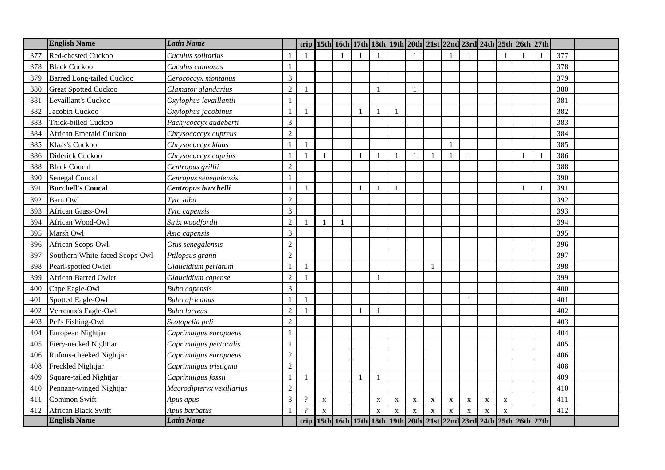|     | <b>English Name</b>              | <b>Latin Name</b>         |                |                | trip 15th 16th 17th 18th 19th 20th 21st 22nd 23rd 24th 25th 26th 27th |              |                          |              |             |              |                |              |             |             |  |     |  |
|-----|----------------------------------|---------------------------|----------------|----------------|-----------------------------------------------------------------------|--------------|--------------------------|--------------|-------------|--------------|----------------|--------------|-------------|-------------|--|-----|--|
| 377 | Red-chested Cuckoo               | Cuculus solitarius        |                |                |                                                                       |              |                          |              |             |              |                |              |             |             |  | 377 |  |
| 378 | <b>Black Cuckoo</b>              | Cuculus clamosus          |                |                |                                                                       |              |                          |              |             |              |                |              |             |             |  | 378 |  |
| 379 | <b>Barred Long-tailed Cuckoo</b> | Cerococcyx montanus       | 3              |                |                                                                       |              |                          |              |             |              |                |              |             |             |  | 379 |  |
| 380 | <b>Great Spotted Cuckoo</b>      | Clamator glandarius       | $\overline{c}$ |                |                                                                       |              |                          |              |             |              |                |              |             |             |  | 380 |  |
| 381 | Levaillant's Cuckoo              | Oxylophus levaillantii    |                |                |                                                                       |              |                          |              |             |              |                |              |             |             |  | 381 |  |
| 382 | Jacobin Cuckoo                   | Oxylophus jacobinus       |                |                |                                                                       |              |                          |              |             |              |                |              |             |             |  | 382 |  |
| 383 | Thick-billed Cuckoo              | Pachycoccyx audeberti     | 3              |                |                                                                       |              |                          |              |             |              |                |              |             |             |  | 383 |  |
| 384 | African Emerald Cuckoo           | Chrysococcyx cupreus      | $\overline{2}$ |                |                                                                       |              |                          |              |             |              |                |              |             |             |  | 384 |  |
| 385 | Klaas's Cuckoo                   | Chrysococcyx klaas        |                |                |                                                                       |              |                          |              |             |              | 1              |              |             |             |  | 385 |  |
| 386 | Diderick Cuckoo                  | Chrysococcyx caprius      |                |                |                                                                       |              |                          |              |             | $\mathbf{1}$ | $\overline{1}$ | $\mathbf{1}$ |             |             |  | 386 |  |
| 388 | <b>Black Coucal</b>              | Centropus grillii         | $\overline{c}$ |                |                                                                       |              |                          |              |             |              |                |              |             |             |  | 388 |  |
| 390 | <b>Senegal Coucal</b>            | Cenropus senegalensis     |                |                |                                                                       |              |                          |              |             |              |                |              |             |             |  | 390 |  |
| 391 | <b>Burchell's Coucal</b>         | Centropus burchelli       |                |                |                                                                       | $\mathbf{1}$ | $\overline{\phantom{0}}$ | $\mathbf{1}$ |             |              |                |              |             |             |  | 391 |  |
| 392 | <b>Barn Owl</b>                  | Tyto alba                 | $\sqrt{2}$     |                |                                                                       |              |                          |              |             |              |                |              |             |             |  | 392 |  |
| 393 | African Grass-Owl                | Tyto capensis             | 3              |                |                                                                       |              |                          |              |             |              |                |              |             |             |  | 393 |  |
| 394 | African Wood-Owl                 | Strix woodfordii          | $\overline{2}$ |                |                                                                       |              |                          |              |             |              |                |              |             |             |  | 394 |  |
| 395 | Marsh Owl                        | Asio capensis             | 3              |                |                                                                       |              |                          |              |             |              |                |              |             |             |  | 395 |  |
| 396 | African Scops-Owl                | Otus senegalensis         | $\overline{c}$ |                |                                                                       |              |                          |              |             |              |                |              |             |             |  | 396 |  |
| 397 | Southern White-faced Scops-Owl   | Ptilopsus granti          | $\overline{2}$ |                |                                                                       |              |                          |              |             |              |                |              |             |             |  | 397 |  |
| 398 | Pearl-spotted Owlet              | Glaucidium perlatum       |                |                |                                                                       |              |                          |              |             | $\mathbf{1}$ |                |              |             |             |  | 398 |  |
| 399 | <b>African Barred Owlet</b>      | Glaucidium capense        | $\overline{2}$ |                |                                                                       |              |                          |              |             |              |                |              |             |             |  | 399 |  |
| 400 | Cape Eagle-Owl                   | <b>Bubo</b> capensis      | 3              |                |                                                                       |              |                          |              |             |              |                |              |             |             |  | 400 |  |
| 401 | Spotted Eagle-Owl                | <b>Bubo</b> africanus     |                |                |                                                                       |              |                          |              |             |              |                |              |             |             |  | 401 |  |
| 402 | Verreaux's Eagle-Owl             | <b>Bubo</b> lacteus       | $\overline{2}$ |                |                                                                       |              |                          |              |             |              |                |              |             |             |  | 402 |  |
| 403 | Pel's Fishing-Owl                | Scotopelia peli           | $\overline{2}$ |                |                                                                       |              |                          |              |             |              |                |              |             |             |  | 403 |  |
| 404 | European Nightjar                | Caprimulgus europaeus     |                |                |                                                                       |              |                          |              |             |              |                |              |             |             |  | 404 |  |
| 405 | Fiery-necked Nightjar            | Caprimulgus pectoralis    |                |                |                                                                       |              |                          |              |             |              |                |              |             |             |  | 405 |  |
| 406 | Rufous-cheeked Nightjar          | Caprimulgus europaeus     | $\overline{c}$ |                |                                                                       |              |                          |              |             |              |                |              |             |             |  | 406 |  |
| 408 | Freckled Nightjar                | Caprimulgus tristigma     | $\overline{2}$ |                |                                                                       |              |                          |              |             |              |                |              |             |             |  | 408 |  |
| 409 | Square-tailed Nightjar           | Caprimulgus fossii        |                |                |                                                                       | $\mathbf{1}$ |                          |              |             |              |                |              |             |             |  | 409 |  |
| 410 | Pennant-winged Nightjar          | Macrodipteryx vexillarius | $\overline{c}$ |                |                                                                       |              |                          |              |             |              |                |              |             |             |  | 410 |  |
| 411 | Common Swift                     | Apus apus                 | 3              | $\gamma$       | X                                                                     |              | $\mathbf X$              | X            | $\mathbf X$ | $\mathbf X$  | $\mathbf X$    | X            | X           | $\mathbf X$ |  | 411 |  |
| 412 | African Black Swift              | Apus barbatus             |                | $\overline{?}$ | $\mathbf{X}$                                                          |              | $\mathbf{X}$             | $\mathbf{X}$ | $\mathbf X$ | $\mathbf{X}$ | $\mathbf x$    | $\mathbf X$  | $\mathbf x$ | $\bf{X}$    |  | 412 |  |
|     | <b>English Name</b>              | <b>Latin Name</b>         |                |                | trip 15th 16th 17th 18th 19th 20th 21st 22nd 23rd 24th 25th 26th 27th |              |                          |              |             |              |                |              |             |             |  |     |  |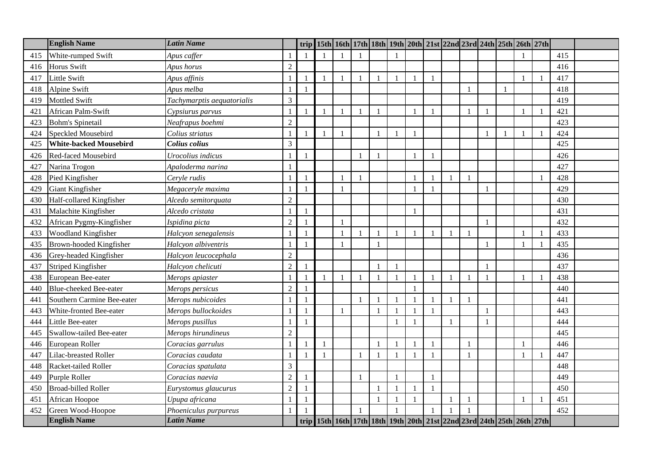|     | <b>English Name</b>           | <b>Latin Name</b>          |                |                |  |              |                |                | trip 15th 16th 17th 18th 19th 20th 21st 22nd 23rd 24th 25th 26th 27th                           |              |              |                          |              |  |     |  |
|-----|-------------------------------|----------------------------|----------------|----------------|--|--------------|----------------|----------------|-------------------------------------------------------------------------------------------------|--------------|--------------|--------------------------|--------------|--|-----|--|
| 415 | White-rumped Swift            | Apus caffer                |                |                |  |              |                |                |                                                                                                 |              |              |                          |              |  | 415 |  |
| 416 | Horus Swift                   | Apus horus                 | $\overline{2}$ |                |  |              |                |                |                                                                                                 |              |              |                          |              |  | 416 |  |
| 417 | Little Swift                  | Apus affinis               |                |                |  |              |                | $\mathbf{1}$   |                                                                                                 | $\mathbf{1}$ |              |                          |              |  | 417 |  |
| 418 | Alpine Swift                  | Apus melba                 | $\overline{1}$ | $\overline{1}$ |  |              |                |                |                                                                                                 |              |              |                          | $\mathbf{1}$ |  | 418 |  |
| 419 | <b>Mottled Swift</b>          | Tachymarptis aequatorialis | $\mathfrak{Z}$ |                |  |              |                |                |                                                                                                 |              |              |                          |              |  | 419 |  |
| 421 | African Palm-Swift            | Cypsiurus parvus           | -1             | $\overline{1}$ |  | $\mathbf{1}$ |                |                |                                                                                                 | $\mathbf{1}$ |              | $\overline{\phantom{a}}$ |              |  | 421 |  |
| 423 | <b>Bohm's Spinetail</b>       | Neafrapus boehmi           | $\sqrt{2}$     |                |  |              |                |                |                                                                                                 |              |              |                          |              |  | 423 |  |
| 424 | <b>Speckled Mousebird</b>     | Colius striatus            | $\overline{1}$ |                |  |              | $\blacksquare$ |                |                                                                                                 |              |              |                          |              |  | 424 |  |
| 425 | <b>White-backed Mousebird</b> | Colius colius              | 3              |                |  |              |                |                |                                                                                                 |              |              |                          |              |  | 425 |  |
| 426 | Red-faced Mousebird           | Urocolius indicus          |                | -1             |  |              |                |                |                                                                                                 | $\mathbf{1}$ |              |                          |              |  | 426 |  |
| 427 | Narina Trogon                 | Apaloderma narina          |                |                |  |              |                |                |                                                                                                 |              |              |                          |              |  | 427 |  |
| 428 | Pied Kingfisher               | Ceryle rudis               | $\overline{1}$ | $\mathbf{1}$   |  | 1            |                |                |                                                                                                 | $\mathbf{1}$ |              |                          |              |  | 428 |  |
| 429 | Giant Kingfisher              | Megaceryle maxima          | $\mathbf{1}$   | $\overline{1}$ |  |              |                |                |                                                                                                 | $\mathbf{1}$ |              |                          |              |  | 429 |  |
| 430 | Half-collared Kingfisher      | Alcedo semitorquata        | $\sqrt{2}$     |                |  |              |                |                |                                                                                                 |              |              |                          |              |  | 430 |  |
| 431 | Malachite Kingfisher          | Alcedo cristata            |                |                |  |              |                |                |                                                                                                 |              |              |                          |              |  | 431 |  |
| 432 | African Pygmy-Kingfisher      | Ispidina picta             | $\overline{2}$ |                |  |              |                |                |                                                                                                 |              |              |                          |              |  | 432 |  |
| 433 | Woodland Kingfisher           | Halcyon senegalensis       |                | $\overline{1}$ |  | $\mathbf{1}$ |                | $\mathbf{1}$   |                                                                                                 | $\mathbf{1}$ |              | $\mathbf{1}$             |              |  | 433 |  |
| 435 | Brown-hooded Kingfisher       | Halcyon albiventris        |                |                |  |              |                |                |                                                                                                 |              |              |                          |              |  | 435 |  |
| 436 | Grey-headed Kingfisher        | Halcyon leucocephala       | $\overline{2}$ |                |  |              |                |                |                                                                                                 |              |              |                          |              |  | 436 |  |
| 437 | Striped Kingfisher            | Halcyon chelicuti          | $\sqrt{2}$     |                |  |              |                |                |                                                                                                 |              |              |                          |              |  | 437 |  |
| 438 | European Bee-eater            | Merops apiaster            | $\overline{1}$ | $\mathbf{1}$   |  | $\mathbf{1}$ | $\overline{1}$ | $\overline{1}$ |                                                                                                 | $\mathbf{1}$ |              | $\overline{1}$           |              |  | 438 |  |
| 440 | <b>Blue-cheeked Bee-eater</b> | Merops persicus            | $\overline{2}$ |                |  |              |                |                |                                                                                                 |              |              |                          |              |  | 440 |  |
| 441 | Southern Carmine Bee-eater    | Merops nubicoides          |                |                |  | $\mathbf{1}$ |                |                |                                                                                                 | $\mathbf{1}$ |              |                          |              |  | 441 |  |
| 443 | White-fronted Bee-eater       | Merops bullockoides        |                |                |  |              |                |                |                                                                                                 | $\mathbf{1}$ |              |                          |              |  | 443 |  |
| 444 | Little Bee-eater              | Merops pusillus            |                | $\overline{1}$ |  |              |                | $\mathbf{1}$   |                                                                                                 |              | $\mathbf{1}$ |                          |              |  | 444 |  |
| 445 | Swallow-tailed Bee-eater      | Merops hirundineus         | $\sqrt{2}$     |                |  |              |                |                |                                                                                                 |              |              |                          |              |  | 445 |  |
| 446 | European Roller               | Coracias garrulus          | $\mathbf{1}$   | $\mathbf{1}$   |  |              | $\overline{1}$ | $\overline{1}$ |                                                                                                 | $\mathbf{1}$ |              |                          |              |  | 446 |  |
| 447 | Lilac-breasted Roller         | Coracias caudata           | -1             | $\overline{1}$ |  | $\mathbf{1}$ |                | $\mathbf{1}$   |                                                                                                 | $\mathbf{1}$ |              |                          |              |  | 447 |  |
| 448 | Racket-tailed Roller          | Coracias spatulata         | $\mathfrak{Z}$ |                |  |              |                |                |                                                                                                 |              |              |                          |              |  | 448 |  |
| 449 | Purple Roller                 | Coracias naevia            | $\overline{2}$ |                |  | $\mathbf{1}$ |                | $\mathbf{1}$   |                                                                                                 | $\mathbf{1}$ |              |                          |              |  | 449 |  |
| 450 | <b>Broad-billed Roller</b>    | Eurystomus glaucurus       | $\overline{c}$ |                |  |              |                |                |                                                                                                 | $\mathbf{1}$ |              |                          |              |  | 450 |  |
| 451 | African Hoopoe                | Upupa africana             |                | $\mathbf{1}$   |  |              | $\overline{1}$ | $\mathbf{1}$   |                                                                                                 |              |              |                          |              |  | 451 |  |
| 452 | Green Wood-Hoopoe             | Phoeniculus purpureus      |                |                |  | $\mathbf{1}$ |                |                |                                                                                                 | $\mathbf{1}$ |              |                          |              |  | 452 |  |
|     | <b>English Name</b>           | <b>Latin Name</b>          |                |                |  |              |                |                | trip   15th   16th   17th   18th   19th   20th   21st   22nd   23rd   24th   25th   26th   27th |              |              |                          |              |  |     |  |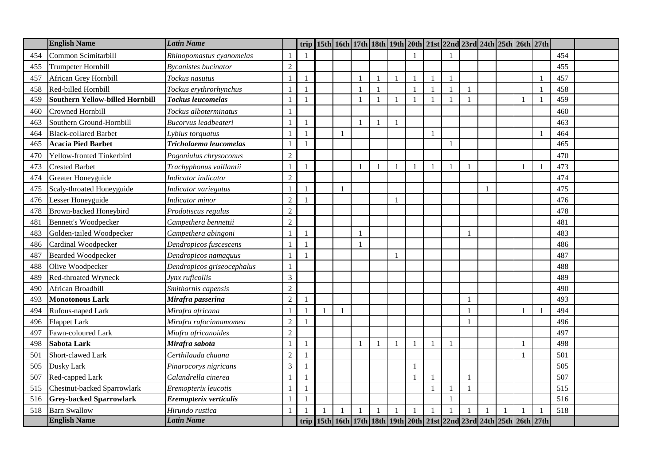|     | <b>English Name</b>                    | <b>Latin Name</b>          |                |                | trip 15th 16th 17th 18th 19th 20th 21st 22nd 23rd 24th 25th 26th 27th |              |                          |                |              |                          |                          |  |  |     |  |
|-----|----------------------------------------|----------------------------|----------------|----------------|-----------------------------------------------------------------------|--------------|--------------------------|----------------|--------------|--------------------------|--------------------------|--|--|-----|--|
| 454 | Common Scimitarbill                    | Rhinopomastus cyanomelas   |                |                |                                                                       |              |                          |                |              |                          |                          |  |  | 454 |  |
| 455 | <b>Trumpeter Hornbill</b>              | Bycanistes bucinator       | $\overline{2}$ |                |                                                                       |              |                          |                |              |                          |                          |  |  | 455 |  |
| 457 | African Grey Hornbill                  | Tockus nasutus             |                |                |                                                                       |              |                          |                | $\mathbf{1}$ |                          |                          |  |  | 457 |  |
| 458 | Red-billed Hornbill                    | Tockus erythrorhynchus     |                |                |                                                                       | $\mathbf{1}$ | $\overline{\phantom{0}}$ |                | $\mathbf{1}$ |                          |                          |  |  | 458 |  |
| 459 | <b>Southern Yellow-billed Hornbill</b> | <b>Tockus leucomelas</b>   |                |                |                                                                       | $\mathbf{1}$ |                          |                | -1           |                          |                          |  |  | 459 |  |
| 460 | Crowned Hornbill                       | Tockus alboterminatus      |                |                |                                                                       |              |                          |                |              |                          |                          |  |  | 460 |  |
| 463 | Southern Ground-Hornbill               | Bucorvus leadbeateri       |                |                |                                                                       |              |                          |                |              |                          |                          |  |  | 463 |  |
| 464 | <b>Black-collared Barbet</b>           | Lybius torquatus           |                |                |                                                                       |              |                          |                | $\mathbf{1}$ |                          |                          |  |  | 464 |  |
| 465 | <b>Acacia Pied Barbet</b>              | Tricholaema leucomelas     | $\mathbf{1}$   | $\mathbf{1}$   |                                                                       |              |                          |                |              | $\overline{\phantom{a}}$ |                          |  |  | 465 |  |
| 470 | Yellow-fronted Tinkerbird              | Pogoniulus chrysoconus     | $\overline{2}$ |                |                                                                       |              |                          |                |              |                          |                          |  |  | 470 |  |
| 473 | <b>Crested Barbet</b>                  | Trachyphonus vaillantii    |                |                |                                                                       |              |                          | $\mathbf{1}$   | $\mathbf{1}$ |                          |                          |  |  | 473 |  |
| 474 | Greater Honeyguide                     | Indicator indicator        | $\overline{2}$ |                |                                                                       |              |                          |                |              |                          |                          |  |  | 474 |  |
| 475 | Scaly-throated Honeyguide              | Indicator variegatus       | $\mathbf{1}$   | $\overline{1}$ |                                                                       |              |                          |                |              |                          |                          |  |  | 475 |  |
| 476 | Lesser Honeyguide                      | Indicator minor            | $\sqrt{2}$     |                |                                                                       |              |                          |                |              |                          |                          |  |  | 476 |  |
| 478 | Brown-backed Honeybird                 | Prodotiscus regulus        | $\overline{2}$ |                |                                                                       |              |                          |                |              |                          |                          |  |  | 478 |  |
| 481 | <b>Bennett's Woodpecker</b>            | Campethera bennettii       | $\overline{2}$ |                |                                                                       |              |                          |                |              |                          |                          |  |  | 481 |  |
| 483 | Golden-tailed Woodpecker               | Campethera abingoni        |                | -1             |                                                                       | 1            |                          |                |              |                          |                          |  |  | 483 |  |
| 486 | Cardinal Woodpecker                    | Dendropicos fuscescens     |                |                |                                                                       |              |                          |                |              |                          |                          |  |  | 486 |  |
| 487 | <b>Bearded Woodpecker</b>              | Dendropicos namaquus       |                |                |                                                                       |              |                          | $\overline{1}$ |              |                          |                          |  |  | 487 |  |
| 488 | Olive Woodpecker                       | Dendropicos griseocephalus | $\mathbf{1}$   |                |                                                                       |              |                          |                |              |                          |                          |  |  | 488 |  |
| 489 | Red-throated Wryneck                   | Jynx ruficollis            | $\mathfrak{Z}$ |                |                                                                       |              |                          |                |              |                          |                          |  |  | 489 |  |
| 490 | African Broadbill                      | Smithornis capensis        | $\sqrt{2}$     |                |                                                                       |              |                          |                |              |                          |                          |  |  | 490 |  |
| 493 | <b>Monotonous Lark</b>                 | Mirafra passerina          | $\overline{2}$ |                |                                                                       |              |                          |                |              |                          | $\overline{\phantom{a}}$ |  |  | 493 |  |
| 494 | Rufous-naped Lark                      | Mirafra africana           |                |                |                                                                       |              |                          |                |              |                          |                          |  |  | 494 |  |
| 496 | <b>Flappet Lark</b>                    | Mirafra rufocinnamomea     | $\overline{2}$ |                |                                                                       |              |                          |                |              |                          |                          |  |  | 496 |  |
| 497 | Fawn-coloured Lark                     | Miafra africanoides        | $\sqrt{2}$     |                |                                                                       |              |                          |                |              |                          |                          |  |  | 497 |  |
| 498 | <b>Sabota Lark</b>                     | Mirafra sabota             | -1             | $\mathbf{1}$   |                                                                       | $\mathbf{1}$ | $\overline{1}$           | $\mathbf{1}$   | $\mathbf{1}$ | $\overline{\phantom{a}}$ |                          |  |  | 498 |  |
| 501 | Short-clawed Lark                      | Certhilauda chuana         | $\overline{2}$ |                |                                                                       |              |                          |                |              |                          |                          |  |  | 501 |  |
| 505 | Dusky Lark                             | Pinarocorys nigricans      | $\mathfrak{Z}$ |                |                                                                       |              |                          |                |              |                          |                          |  |  | 505 |  |
| 507 | Red-capped Lark                        | Calandrella cinerea        |                |                |                                                                       |              |                          |                | $\mathbf{1}$ |                          |                          |  |  | 507 |  |
| 515 | Chestnut-backed Sparrowlark            | Eremopterix leucotis       |                |                |                                                                       |              |                          |                | $\mathbf{1}$ |                          |                          |  |  | 515 |  |
| 516 | <b>Grey-backed Sparrowlark</b>         | Eremopterix verticalis     |                |                |                                                                       |              |                          |                |              |                          |                          |  |  | 516 |  |
| 518 | <b>Barn Swallow</b>                    | Hirundo rustica            |                |                |                                                                       |              |                          |                | $\mathbf{1}$ |                          |                          |  |  | 518 |  |
|     | <b>English Name</b>                    | Latin Name                 |                |                | trip 15th 16th 17th 18th 19th 20th 21st 22nd 23rd 24th 25th 26th 27th |              |                          |                |              |                          |                          |  |  |     |  |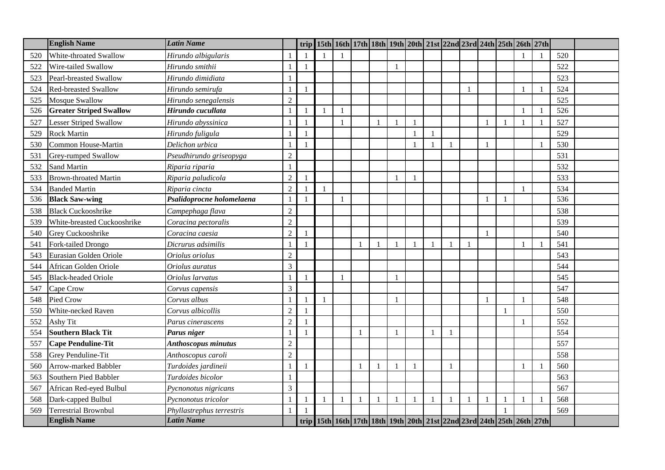|     | <b>English Name</b>            | <b>Latin Name</b>          |                |                |  |   |              |                | trip 15th 16th 17th 18th 19th 20th 21st 22nd 23rd 24th 25th 26th 27th |                |              |              |  |     |  |
|-----|--------------------------------|----------------------------|----------------|----------------|--|---|--------------|----------------|-----------------------------------------------------------------------|----------------|--------------|--------------|--|-----|--|
| 520 | White-throated Swallow         | Hirundo albigularis        |                |                |  |   |              |                |                                                                       |                |              |              |  | 520 |  |
| 522 | Wire-tailed Swallow            | Hirundo smithii            |                | $\overline{1}$ |  |   | $\mathbf{1}$ |                |                                                                       |                |              |              |  | 522 |  |
| 523 | Pearl-breasted Swallow         | Hirundo dimidiata          |                |                |  |   |              |                |                                                                       |                |              |              |  | 523 |  |
| 524 | <b>Red-breasted Swallow</b>    | Hirundo semirufa           |                |                |  |   |              |                |                                                                       |                |              |              |  | 524 |  |
| 525 | Mosque Swallow                 | Hirundo senegalensis       | $\overline{c}$ |                |  |   |              |                |                                                                       |                |              |              |  | 525 |  |
| 526 | <b>Greater Striped Swallow</b> | Hirundo cucullata          |                |                |  |   |              |                |                                                                       |                |              |              |  | 526 |  |
| 527 | <b>Lesser Striped Swallow</b>  | Hirundo abyssinica         |                |                |  |   |              |                |                                                                       |                |              |              |  | 527 |  |
| 529 | <b>Rock Martin</b>             | Hirundo fuligula           |                |                |  |   |              |                | 1                                                                     |                |              |              |  | 529 |  |
| 530 | Common House-Martin            | Delichon urbica            |                |                |  |   |              |                | $\mathbf{1}$                                                          |                |              |              |  | 530 |  |
| 531 | Grey-rumped Swallow            | Pseudhirundo griseopyga    | $\mathfrak{2}$ |                |  |   |              |                |                                                                       |                |              |              |  | 531 |  |
| 532 | Sand Martin                    | Riparia riparia            |                |                |  |   |              |                |                                                                       |                |              |              |  | 532 |  |
| 533 | <b>Brown-throated Martin</b>   | Riparia paludicola         | $\overline{2}$ |                |  |   |              |                |                                                                       |                |              |              |  | 533 |  |
| 534 | <b>Banded Martin</b>           | Riparia cincta             | $\overline{2}$ |                |  |   |              |                |                                                                       |                |              |              |  | 534 |  |
| 536 | <b>Black Saw-wing</b>          | Psalidoprocne holomelaena  |                |                |  |   |              |                |                                                                       |                |              | $\mathbf{1}$ |  | 536 |  |
| 538 | <b>Black Cuckooshrike</b>      | Campephaga flava           | $\overline{2}$ |                |  |   |              |                |                                                                       |                |              |              |  | 538 |  |
| 539 | White-breasted Cuckooshrike    | Coracina pectoralis        | $\overline{2}$ |                |  |   |              |                |                                                                       |                |              |              |  | 539 |  |
| 540 | Grey Cuckooshrike              | Coracina caesia            | $\overline{2}$ |                |  |   |              |                |                                                                       |                |              |              |  | 540 |  |
| 541 | Fork-tailed Drongo             | Dicrurus adsimilis         |                |                |  |   |              |                | $\mathbf{1}$                                                          |                | $\mathbf{1}$ |              |  | 541 |  |
| 543 | Eurasian Golden Oriole         | Oriolus oriolus            | $\overline{c}$ |                |  |   |              |                |                                                                       |                |              |              |  | 543 |  |
| 544 | African Golden Oriole          | Oriolus auratus            | 3              |                |  |   |              |                |                                                                       |                |              |              |  | 544 |  |
| 545 | <b>Black-headed Oriole</b>     | Oriolus larvatus           |                |                |  |   | $\mathbf{1}$ |                |                                                                       |                |              |              |  | 545 |  |
| 547 | Cape Crow                      | Corvus capensis            | 3              |                |  |   |              |                |                                                                       |                |              |              |  | 547 |  |
| 548 | <b>Pied Crow</b>               | Corvus albus               |                |                |  |   |              |                |                                                                       |                |              |              |  | 548 |  |
| 550 | White-necked Raven             | Corvus albicollis          | $\overline{2}$ |                |  |   |              |                |                                                                       |                |              |              |  | 550 |  |
| 552 | Ashy Tit                       | Parus cinerascens          | $\overline{2}$ |                |  |   |              |                |                                                                       |                |              |              |  | 552 |  |
| 554 | <b>Southern Black Tit</b>      | Parus niger                |                | $\overline{1}$ |  | 1 | $\mathbf{1}$ |                | -1                                                                    | -1             |              |              |  | 554 |  |
| 557 | <b>Cape Penduline-Tit</b>      | <b>Anthoscopus minutus</b> | $\overline{c}$ |                |  |   |              |                |                                                                       |                |              |              |  | 557 |  |
| 558 | Grey Penduline-Tit             | Anthoscopus caroli         | $\overline{2}$ |                |  |   |              |                |                                                                       |                |              |              |  | 558 |  |
| 560 | Arrow-marked Babbler           | Turdoides jardineii        |                |                |  | 1 |              | $\overline{1}$ |                                                                       | $\overline{1}$ |              |              |  | 560 |  |
| 563 | Southern Pied Babbler          | Turdoides bicolor          |                |                |  |   |              |                |                                                                       |                |              |              |  | 563 |  |
| 567 | African Red-eyed Bulbul        | Pycnonotus nigricans       | 3              |                |  |   |              |                |                                                                       |                |              |              |  | 567 |  |
| 568 | Dark-capped Bulbul             | Pycnonotus tricolor        |                |                |  |   |              |                | $\mathbf{1}$                                                          |                |              |              |  | 568 |  |
| 569 | <b>Terrestrial Brownbul</b>    | Phyllastrephus terrestris  |                |                |  |   |              |                |                                                                       |                |              |              |  | 569 |  |
|     | <b>English Name</b>            | <b>Latin Name</b>          |                |                |  |   |              |                | trip 15th 16th 17th 18th 19th 20th 21st 22nd 23rd 24th 25th 26th 27th |                |              |              |  |     |  |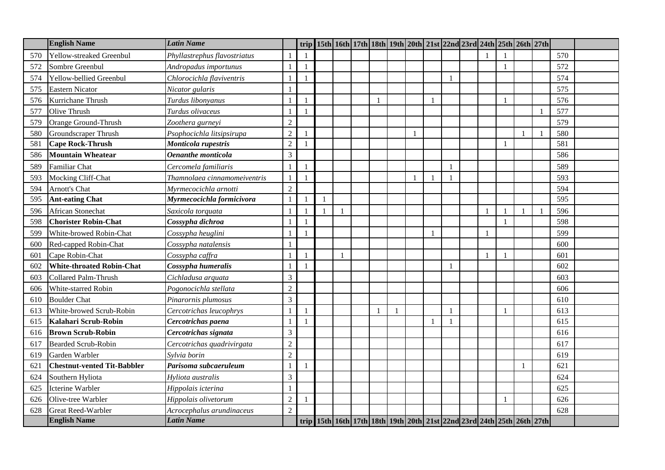|     | <b>English Name</b>                | <b>Latin Name</b>            |                | trip           |  |  |  | 15th   16th   17th   18th   19th   20th   21st   22nd   23rd   24th   25th   26th   27th |              |  |              |  |     |  |
|-----|------------------------------------|------------------------------|----------------|----------------|--|--|--|------------------------------------------------------------------------------------------|--------------|--|--------------|--|-----|--|
| 570 | Yellow-streaked Greenbul           | Phyllastrephus flavostriatus |                |                |  |  |  |                                                                                          |              |  |              |  | 570 |  |
| 572 | Sombre Greenbul                    | Andropadus importunus        |                | $\mathbf{1}$   |  |  |  |                                                                                          |              |  | $\mathbf{1}$ |  | 572 |  |
| 574 | Yellow-bellied Greenbul            | Chlorocichla flaviventris    |                |                |  |  |  |                                                                                          |              |  |              |  | 574 |  |
| 575 | <b>Eastern Nicator</b>             | Nicator gularis              |                |                |  |  |  |                                                                                          |              |  |              |  | 575 |  |
| 576 | Kurrichane Thrush                  | Turdus libonyanus            |                |                |  |  |  | 1                                                                                        |              |  | $\mathbf{1}$ |  | 576 |  |
| 577 | Olive Thrush                       | Turdus olivaceus             |                |                |  |  |  |                                                                                          |              |  |              |  | 577 |  |
| 579 | Orange Ground-Thrush               | Zoothera gurneyi             | $\overline{2}$ |                |  |  |  |                                                                                          |              |  |              |  | 579 |  |
| 580 | Groundscraper Thrush               | Psophocichla litsipsirupa    | $\overline{2}$ |                |  |  |  |                                                                                          |              |  |              |  | 580 |  |
| 581 | <b>Cape Rock-Thrush</b>            | Monticola rupestris          | $\overline{2}$ | $\mathbf{1}$   |  |  |  |                                                                                          |              |  | $\mathbf{1}$ |  | 581 |  |
| 586 | <b>Mountain Wheatear</b>           | Oenanthe monticola           | 3              |                |  |  |  |                                                                                          |              |  |              |  | 586 |  |
| 589 | <b>Familiar Chat</b>               | Cercomela familiaris         |                | $\overline{1}$ |  |  |  |                                                                                          | $\mathbf{1}$ |  |              |  | 589 |  |
| 593 | Mocking Cliff-Chat                 | Thamnolaea cinnamomeiventris | $\mathbf{1}$   |                |  |  |  | -1                                                                                       |              |  |              |  | 593 |  |
| 594 | Arnott's Chat                      | Myrmecocichla arnotti        | $\overline{c}$ |                |  |  |  |                                                                                          |              |  |              |  | 594 |  |
| 595 | <b>Ant-eating Chat</b>             | Myrmecocichla formicivora    | $\mathbf{1}$   |                |  |  |  |                                                                                          |              |  |              |  | 595 |  |
| 596 | African Stonechat                  | Saxicola torquata            |                |                |  |  |  |                                                                                          |              |  |              |  | 596 |  |
| 598 | <b>Chorister Robin-Chat</b>        | Cossypha dichroa             |                |                |  |  |  |                                                                                          |              |  | $\mathbf{1}$ |  | 598 |  |
| 599 | White-browed Robin-Chat            | Cossypha heuglini            |                |                |  |  |  | $\mathbf{1}$                                                                             |              |  |              |  | 599 |  |
| 600 | Red-capped Robin-Chat              | Cossypha natalensis          |                |                |  |  |  |                                                                                          |              |  |              |  | 600 |  |
| 601 | Cape Robin-Chat                    | Cossypha caffra              |                |                |  |  |  |                                                                                          |              |  |              |  | 601 |  |
| 602 | <b>White-throated Robin-Chat</b>   | Cossypha humeralis           |                |                |  |  |  |                                                                                          |              |  |              |  | 602 |  |
| 603 | <b>Collared Palm-Thrush</b>        | Cichladusa arquata           | 3              |                |  |  |  |                                                                                          |              |  |              |  | 603 |  |
| 606 | White-starred Robin                | Pogonocichla stellata        | $\overline{2}$ |                |  |  |  |                                                                                          |              |  |              |  | 606 |  |
| 610 | <b>Boulder Chat</b>                | Pinarornis plumosus          | 3              |                |  |  |  |                                                                                          |              |  |              |  | 610 |  |
| 613 | White-browed Scrub-Robin           | Cercotrichas leucophrys      |                |                |  |  |  |                                                                                          |              |  |              |  | 613 |  |
| 615 | Kalahari Scrub-Robin               | Cercotrichas paena           |                | $\overline{1}$ |  |  |  | $\mathbf{1}$                                                                             | -1           |  |              |  | 615 |  |
| 616 | <b>Brown Scrub-Robin</b>           | Cercotrichas signata         | 3              |                |  |  |  |                                                                                          |              |  |              |  | 616 |  |
| 617 | <b>Bearded Scrub-Robin</b>         | Cercotrichas quadrivirgata   | $\overline{2}$ |                |  |  |  |                                                                                          |              |  |              |  | 617 |  |
| 619 | Garden Warbler                     | Sylvia borin                 | $\overline{2}$ |                |  |  |  |                                                                                          |              |  |              |  | 619 |  |
| 62  | <b>Chestnut-vented Tit-Babbler</b> | Parisoma subcaeruleum        | $\mathbf{1}$   |                |  |  |  |                                                                                          |              |  |              |  | 621 |  |
| 624 | Southern Hyliota                   | Hyliota australis            | 3              |                |  |  |  |                                                                                          |              |  |              |  | 624 |  |
| 625 | Icterine Warbler                   | Hippolais icterina           |                |                |  |  |  |                                                                                          |              |  |              |  | 625 |  |
| 626 | Olive-tree Warbler                 | Hippolais olivetorum         | $\overline{2}$ |                |  |  |  |                                                                                          |              |  |              |  | 626 |  |
| 628 | Great Reed-Warbler                 | Acrocephalus arundinaceus    | $\overline{2}$ |                |  |  |  |                                                                                          |              |  |              |  | 628 |  |
|     | <b>English Name</b>                | Latin Name                   |                |                |  |  |  | trip 15th 16th 17th 18th 19th 20th 21st 22nd 23rd 24th 25th 26th 27th                    |              |  |              |  |     |  |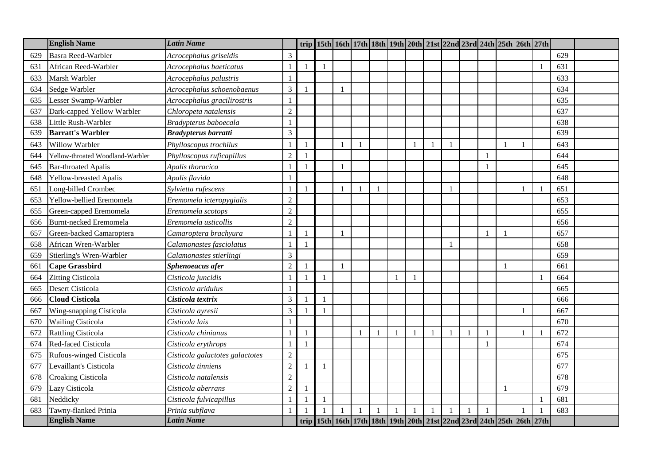|     | <b>English Name</b>              | <b>Latin Name</b>               |                |                |  |              |  | trip 15th 16th 17th 18th 19th 20th 21st 22nd 23rd 24th 25th 26th 27th |    |              |              |  |     |  |
|-----|----------------------------------|---------------------------------|----------------|----------------|--|--------------|--|-----------------------------------------------------------------------|----|--------------|--------------|--|-----|--|
| 629 | <b>Basra Reed-Warbler</b>        | Acrocephalus griseldis          | 3              |                |  |              |  |                                                                       |    |              |              |  | 629 |  |
| 631 | African Reed-Warbler             | Acrocephalus baeticatus         |                | $\overline{1}$ |  |              |  |                                                                       |    |              |              |  | 631 |  |
| 633 | Marsh Warbler                    | Acrocephalus palustris          |                |                |  |              |  |                                                                       |    |              |              |  | 633 |  |
| 634 | Sedge Warbler                    | Acrocephalus schoenobaenus      | 3              |                |  |              |  |                                                                       |    |              |              |  | 634 |  |
| 635 | Lesser Swamp-Warbler             | Acrocephalus gracilirostris     |                |                |  |              |  |                                                                       |    |              |              |  | 635 |  |
| 637 | Dark-capped Yellow Warbler       | Chloropeta natalensis           | $\overline{2}$ |                |  |              |  |                                                                       |    |              |              |  | 637 |  |
| 638 | Little Rush-Warbler              | Bradypterus baboecala           |                |                |  |              |  |                                                                       |    |              |              |  | 638 |  |
| 639 | <b>Barratt's Warbler</b>         | <b>Bradypterus barratti</b>     | 3              |                |  |              |  |                                                                       |    |              |              |  | 639 |  |
| 643 | Willow Warbler                   | Phylloscopus trochilus          |                |                |  | $\mathbf{1}$ |  | $\mathbf{1}$                                                          | 1  |              | $\mathbf{1}$ |  | 643 |  |
| 644 | Yellow-throated Woodland-Warbler | Phylloscopus ruficapillus       | $\overline{2}$ |                |  |              |  |                                                                       |    |              |              |  | 644 |  |
| 645 | <b>Bar-throated Apalis</b>       | Apalis thoracica                |                |                |  |              |  |                                                                       |    |              |              |  | 645 |  |
| 648 | Yellow-breasted Apalis           | Apalis flavida                  |                |                |  |              |  |                                                                       |    |              |              |  | 648 |  |
| 651 | Long-billed Crombec              | Sylvietta rufescens             |                |                |  |              |  |                                                                       |    |              |              |  | 651 |  |
| 653 | Yellow-bellied Eremomela         | Eremomela icteropygialis        | $\mathfrak{2}$ |                |  |              |  |                                                                       |    |              |              |  | 653 |  |
| 655 | Green-capped Eremomela           | Eremomela scotops               | $\overline{2}$ |                |  |              |  |                                                                       |    |              |              |  | 655 |  |
| 656 | <b>Burnt-necked Eremomela</b>    | Eremomela usticollis            | $\overline{2}$ |                |  |              |  |                                                                       |    |              |              |  | 656 |  |
| 657 | Green-backed Camaroptera         | Camaroptera brachyura           |                |                |  |              |  |                                                                       |    |              | $\mathbf{1}$ |  | 657 |  |
| 658 | African Wren-Warbler             | Calamonastes fasciolatus        |                |                |  |              |  |                                                                       |    |              |              |  | 658 |  |
| 659 | Stierling's Wren-Warbler         | Calamonastes stierlingi         | 3              |                |  |              |  |                                                                       |    |              |              |  | 659 |  |
| 661 | <b>Cape Grassbird</b>            | Sphenoeacus afer                | $\overline{2}$ |                |  |              |  |                                                                       |    |              | $\mathbf{1}$ |  | 661 |  |
| 664 | <b>Zitting Cisticola</b>         | Cisticola juncidis              |                |                |  |              |  |                                                                       |    |              |              |  | 664 |  |
| 665 | Desert Cisticola                 | Cisticola aridulus              |                |                |  |              |  |                                                                       |    |              |              |  | 665 |  |
| 666 | <b>Cloud Cisticola</b>           | Cisticola textrix               | 3              |                |  |              |  |                                                                       |    |              |              |  | 666 |  |
| 667 | Wing-snapping Cisticola          | Cisticola ayresii               | 3              |                |  |              |  |                                                                       |    |              |              |  | 667 |  |
| 670 | <b>Wailing Cisticola</b>         | Cisticola lais                  |                |                |  |              |  |                                                                       |    |              |              |  | 670 |  |
| 672 | <b>Rattling Cisticola</b>        | Cisticola chinianus             |                | $\mathbf{1}$   |  |              |  | $\mathbf{1}$                                                          | -1 | $\mathbf{1}$ |              |  | 672 |  |
| 674 | Red-faced Cisticola              | Cisticola erythrops             |                |                |  |              |  |                                                                       |    |              |              |  | 674 |  |
| 675 | Rufous-winged Cisticola          | Cisticola galactotes galactotes | $\overline{2}$ |                |  |              |  |                                                                       |    |              |              |  | 675 |  |
| 677 | Levaillant's Cisticola           | Cisticola tinniens              | $\overline{2}$ |                |  |              |  |                                                                       |    |              |              |  | 677 |  |
| 678 | Croaking Cisticola               | Cisticola natalensis            | $\overline{2}$ |                |  |              |  |                                                                       |    |              |              |  | 678 |  |
| 679 | Lazy Cisticola                   | Cisticola aberrans              | $\overline{2}$ |                |  |              |  |                                                                       |    |              |              |  | 679 |  |
| 681 | Neddicky                         | Cisticola fulvicapillus         |                |                |  |              |  |                                                                       |    |              |              |  | 681 |  |
| 683 | Tawny-flanked Prinia             | Prinia subflava                 |                |                |  |              |  | $\mathbf{1}$                                                          |    |              |              |  | 683 |  |
|     | <b>English Name</b>              | <b>Latin Name</b>               |                |                |  |              |  | trip 15th 16th 17th 18th 19th 20th 21st 22nd 23rd 24th 25th 26th 27th |    |              |              |  |     |  |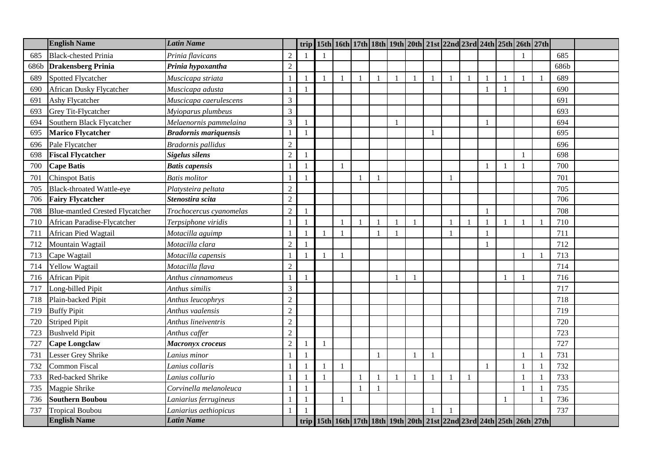|      | <b>English Name</b>                    | <b>Latin Name</b>            |                  |                |              |              |                |              |                | trip 15th 16th 17th 18th 19th 20th 21st 22nd 23rd 24th 25th 26th 27th |                |              |              |  |      |  |
|------|----------------------------------------|------------------------------|------------------|----------------|--------------|--------------|----------------|--------------|----------------|-----------------------------------------------------------------------|----------------|--------------|--------------|--|------|--|
| 685  | <b>Black-chested Prinia</b>            | Prinia flavicans             | $\overline{2}$   |                |              |              |                |              |                |                                                                       |                |              |              |  | 685  |  |
| 686b | <b>Drakensberg Prinia</b>              | Prinia hypoxantha            | $\mathfrak{2}$   |                |              |              |                |              |                |                                                                       |                |              |              |  | 686b |  |
| 689  | <b>Spotted Flycatcher</b>              | Muscicapa striata            |                  | $\overline{1}$ |              |              | $\overline{1}$ | $\mathbf{1}$ | $\overline{1}$ | $\mathbf{1}$                                                          | $\blacksquare$ | $\mathbf{1}$ | $\mathbf{1}$ |  | 689  |  |
| 690  | African Dusky Flycatcher               | Muscicapa adusta             |                  |                |              |              |                |              |                |                                                                       |                |              | $\mathbf{1}$ |  | 690  |  |
| 691  | Ashy Flycatcher                        | Muscicapa caerulescens       | 3                |                |              |              |                |              |                |                                                                       |                |              |              |  | 691  |  |
| 693  | Grey Tit-Flycatcher                    | Myioparus plumbeus           | 3                |                |              |              |                |              |                |                                                                       |                |              |              |  | 693  |  |
| 694  | Southern Black Flycatcher              | Melaenornis pammelaina       | 3                |                |              |              |                | $\mathbf{1}$ |                |                                                                       |                |              |              |  | 694  |  |
| 695  | <b>Marico Flycatcher</b>               | <b>Bradornis mariquensis</b> |                  |                |              |              |                |              |                | $\mathbf{1}$                                                          |                |              |              |  | 695  |  |
| 696  | Pale Flycatcher                        | <b>Bradornis</b> pallidus    | $\overline{2}$   |                |              |              |                |              |                |                                                                       |                |              |              |  | 696  |  |
| 698  | <b>Fiscal Flycatcher</b>               | <b>Sigelus silens</b>        | $\overline{2}$   |                |              |              |                |              |                |                                                                       |                |              |              |  | 698  |  |
| 700  | <b>Cape Batis</b>                      | <b>Batis capensis</b>        |                  | $\overline{1}$ | $\mathbf{1}$ |              |                |              |                |                                                                       |                |              | $\mathbf{1}$ |  | 700  |  |
| 701  | <b>Chinspot Batis</b>                  | <b>Batis</b> molitor         |                  |                |              |              |                |              |                |                                                                       |                |              |              |  | 701  |  |
| 705  | <b>Black-throated Wattle-eye</b>       | Platysteira peltata          | $\overline{2}$   |                |              |              |                |              |                |                                                                       |                |              |              |  | 705  |  |
| 706  | <b>Fairy Flycatcher</b>                | Stenostira scita             | $\overline{c}$   |                |              |              |                |              |                |                                                                       |                |              |              |  | 706  |  |
| 708  | <b>Blue-mantled Crested Flycatcher</b> | Trochocercus cyanomelas      | $\overline{2}$   |                |              |              |                |              |                |                                                                       |                |              |              |  | 708  |  |
| 710  | African Paradise-Flycatcher            | Terpsiphone viridis          |                  |                |              |              |                |              |                |                                                                       |                |              |              |  | 710  |  |
| 711  | African Pied Wagtail                   | Motacilla aguimp             |                  |                |              |              |                |              |                |                                                                       |                |              |              |  | 711  |  |
| 712  | Mountain Wagtail                       | Motacilla clara              | $\overline{2}$   |                |              |              |                |              |                |                                                                       |                |              |              |  | 712  |  |
| 713  | Cape Wagtail                           | Motacilla capensis           |                  |                |              |              |                |              |                |                                                                       |                |              |              |  | 713  |  |
| 714  | Yellow Wagtail                         | Motacilla flava              | $\overline{2}$   |                |              |              |                |              |                |                                                                       |                |              |              |  | 714  |  |
| 716  | <b>African Pipit</b>                   | Anthus cinnamomeus           |                  |                |              |              |                |              |                |                                                                       |                |              | $\mathbf{1}$ |  | 716  |  |
| 717  | Long-billed Pipit                      | Anthus similis               | 3                |                |              |              |                |              |                |                                                                       |                |              |              |  | 717  |  |
| 718  | Plain-backed Pipit                     | Anthus leucophrys            | $\sqrt{2}$       |                |              |              |                |              |                |                                                                       |                |              |              |  | 718  |  |
| 719  | <b>Buffy Pipit</b>                     | Anthus vaalensis             | $\overline{2}$   |                |              |              |                |              |                |                                                                       |                |              |              |  | 719  |  |
| 720  | <b>Striped Pipit</b>                   | Anthus lineiventris          | $\overline{c}$   |                |              |              |                |              |                |                                                                       |                |              |              |  | 720  |  |
| 723  | <b>Bushveld Pipit</b>                  | Anthus caffer                | $\overline{c}$   |                |              |              |                |              |                |                                                                       |                |              |              |  | 723  |  |
| 727  | <b>Cape Longclaw</b>                   | Macronyx croceus             | $\boldsymbol{2}$ | $\overline{1}$ |              |              |                |              |                |                                                                       |                |              |              |  | 727  |  |
| 731  | Lesser Grey Shrike                     | Lanius minor                 |                  |                |              |              |                |              |                | $\mathbf{1}$                                                          |                |              |              |  | 731  |  |
| 732  | Common Fiscal                          | Lanius collaris              |                  | $\overline{1}$ |              |              |                |              |                |                                                                       |                |              |              |  | 732  |  |
| 733  | Red-backed Shrike                      | Lanius collurio              |                  | $\overline{1}$ |              | $\mathbf{1}$ |                |              |                | 1                                                                     |                | $\mathbf{1}$ |              |  | 733  |  |
| 735  | Magpie Shrike                          | Corvinella melanoleuca       |                  |                |              |              |                |              |                |                                                                       |                |              |              |  | 735  |  |
| 736  | <b>Southern Boubou</b>                 | Laniarius ferrugineus        |                  |                |              |              |                |              |                |                                                                       |                |              |              |  | 736  |  |
| 737  | <b>Tropical Boubou</b>                 | Laniarius aethiopicus        |                  |                |              |              |                |              |                | $\mathbf{1}$                                                          |                |              |              |  | 737  |  |
|      | <b>English Name</b>                    | <b>Latin Name</b>            |                  |                |              |              |                |              |                | trip 15th 16th 17th 18th 19th 20th 21st 22nd 23rd 24th 25th 26th 27th |                |              |              |  |      |  |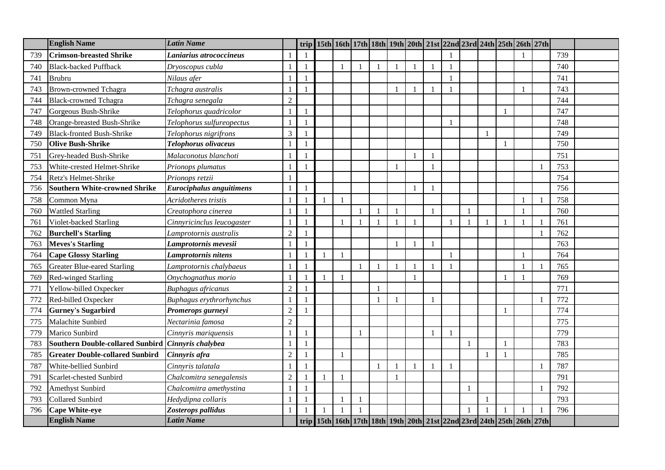|     | <b>English Name</b>                                       | <b>Latin Name</b>          |                |                | trip 15th 16th 17th 18th 19th 20th 21st 22nd 23rd 24th 25th 26th 27th |              |                |                |              |              |              |              |                |     |  |
|-----|-----------------------------------------------------------|----------------------------|----------------|----------------|-----------------------------------------------------------------------|--------------|----------------|----------------|--------------|--------------|--------------|--------------|----------------|-----|--|
| 739 | <b>Crimson-breasted Shrike</b>                            | Laniarius atrococcineus    |                |                |                                                                       |              |                |                |              |              |              |              |                | 739 |  |
| 740 | <b>Black-backed Puffback</b>                              | Dryoscopus cubla           |                | $\mathbf{1}$   |                                                                       |              |                |                | $\mathbf{1}$ |              |              |              |                | 740 |  |
| 741 | <b>Brubru</b>                                             | Nilaus afer                |                | $\overline{1}$ |                                                                       |              |                |                |              |              |              |              |                | 741 |  |
| 743 | <b>Brown-crowned Tchagra</b>                              | Tchagra australis          | $\mathbf{1}$   | -1             |                                                                       |              |                |                | $\mathbf{1}$ |              |              |              |                | 743 |  |
| 744 | <b>Black-crowned Tchagra</b>                              | Tchagra senegala           | $\overline{2}$ |                |                                                                       |              |                |                |              |              |              |              |                | 744 |  |
| 747 | Gorgeous Bush-Shrike                                      | Telophorus quadricolor     |                |                |                                                                       |              |                |                |              |              |              |              |                | 747 |  |
| 748 | Orange-breasted Bush-Shrike                               | Telophorus sulfureopectus  |                |                |                                                                       |              |                |                |              |              |              |              |                | 748 |  |
| 749 | <b>Black-fronted Bush-Shrike</b>                          | Telophorus nigrifrons      | $\overline{3}$ |                |                                                                       |              |                |                |              |              |              |              |                | 749 |  |
| 750 | <b>Olive Bush-Shrike</b>                                  | Telophorus olivaceus       |                |                |                                                                       |              |                |                |              |              |              |              |                | 750 |  |
| 751 | Grey-headed Bush-Shrike                                   | Malaconotus blanchoti      |                |                |                                                                       |              |                |                | $\mathbf{1}$ |              |              |              |                | 751 |  |
| 753 | White-crested Helmet-Shrike                               | Prionops plumatus          |                |                |                                                                       |              |                | $\overline{1}$ | $\mathbf{1}$ |              |              |              |                | 753 |  |
| 754 | Retz's Helmet-Shrike                                      | Prionops retzii            |                |                |                                                                       |              |                |                |              |              |              |              |                | 754 |  |
| 756 | <b>Southern White-crowned Shrike</b>                      | Eurociphalus anguitimens   | $\mathbf{1}$   |                |                                                                       |              |                |                | $\mathbf{1}$ |              |              |              |                | 756 |  |
| 758 | Common Myna                                               | Acridotheres tristis       |                | $\overline{1}$ |                                                                       |              |                |                |              |              |              |              |                | 758 |  |
| 760 | <b>Wattled Starling</b>                                   | Creatophora cinerea        |                | $\overline{1}$ |                                                                       | $\mathbf{1}$ |                | $\mathbf{1}$   | $\mathbf{1}$ |              |              |              |                | 760 |  |
| 761 | Violet-backed Starling                                    | Cinnyricinclus leucogaster |                |                |                                                                       |              |                |                |              |              |              |              |                | 761 |  |
| 762 | <b>Burchell's Starling</b>                                | Lamprotornis australis     | $\overline{2}$ |                |                                                                       |              |                |                |              |              |              |              |                | 762 |  |
| 763 | <b>Meves's Starling</b>                                   | Lamprotornis mevesii       |                | $\overline{1}$ |                                                                       |              |                |                | $\mathbf{1}$ |              |              |              |                | 763 |  |
| 764 | <b>Cape Glossy Starling</b>                               | Lamprotornis nitens        |                | $\mathbf{1}$   |                                                                       |              |                |                |              | $\mathbf{1}$ |              |              |                | 764 |  |
| 765 | <b>Greater Blue-eared Starling</b>                        | Lamprotornis chalybaeus    |                | $\mathbf{1}$   |                                                                       | $\mathbf{1}$ |                |                | $\mathbf{1}$ |              |              |              |                | 765 |  |
| 769 | <b>Red-winged Starling</b>                                | Onychognathus morio        |                | $\overline{1}$ |                                                                       |              |                |                |              |              |              | $\mathbf{1}$ |                | 769 |  |
| 771 | Yellow-billed Oxpecker                                    | <b>Buphagus africanus</b>  | $\sqrt{2}$     |                |                                                                       |              |                |                |              |              |              |              |                | 771 |  |
| 772 | Red-billed Oxpecker                                       | Buphagus erythrorhynchus   |                |                |                                                                       |              | $\blacksquare$ |                | $\mathbf{1}$ |              |              |              | $\overline{1}$ | 772 |  |
| 774 | <b>Gurney's Sugarbird</b>                                 | Promerops gurneyi          | $\overline{2}$ |                |                                                                       |              |                |                |              |              |              | -1           |                | 774 |  |
| 775 | Malachite Sunbird                                         | Nectarinia famosa          | $\overline{2}$ |                |                                                                       |              |                |                |              |              |              |              |                | 775 |  |
| 779 | Marico Sunbird                                            | Cinnyris mariquensis       |                | -1             |                                                                       | $\mathbf{1}$ |                |                | $\mathbf{1}$ |              |              |              |                | 779 |  |
| 783 | Southern Double-collared Sunbird <i>Cinnyris chalybea</i> |                            |                | $\mathbf{1}$   |                                                                       |              |                |                |              |              | $\mathbf{1}$ | $\mathbf{1}$ |                | 783 |  |
| 785 | <b>Greater Double-collared Sunbird</b>                    | Cinnyris afra              | $\overline{2}$ |                |                                                                       |              |                |                |              |              |              |              |                | 785 |  |
| 787 | White-bellied Sunbird                                     | Cinnyris talatala          |                |                |                                                                       |              | $\overline{1}$ |                | $\mathbf{1}$ |              |              |              |                | 787 |  |
| 791 | Scarlet-chested Sunbird                                   | Chalcomitra senegalensis   | $\overline{2}$ |                |                                                                       |              |                | $\mathbf{1}$   |              |              |              |              |                | 791 |  |
| 792 | <b>Amethyst Sunbird</b>                                   | Chalcomitra amethystina    |                |                |                                                                       |              |                |                |              |              |              |              |                | 792 |  |
| 793 | <b>Collared Sunbird</b>                                   | Hedydipna collaris         |                | $\overline{1}$ |                                                                       |              |                |                |              |              |              |              |                | 793 |  |
| 796 | <b>Cape White-eye</b>                                     | Zosterops pallidus         |                |                |                                                                       | $\mathbf{1}$ |                |                |              |              |              |              |                | 796 |  |
|     | <b>English Name</b>                                       | <b>Latin Name</b>          |                |                | trip 15th 16th 17th 18th 19th 20th 21st 22nd 23rd 24th 25th 26th 27th |              |                |                |              |              |              |              |                |     |  |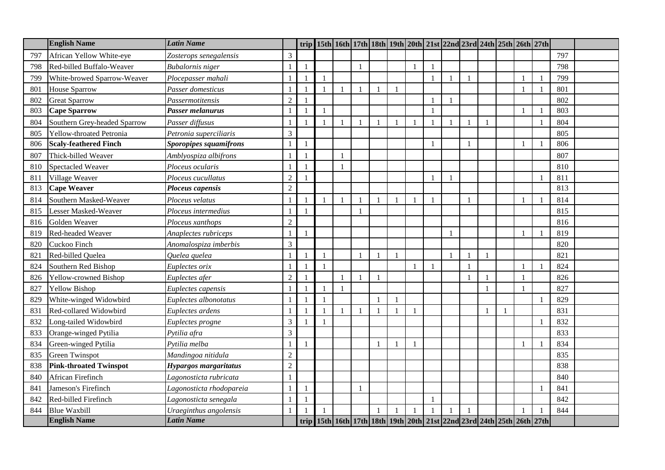|     | <b>English Name</b>           | <b>Latin Name</b>             |                |                | trip 15th 16th 17th 18th 19th 20th 21st 22nd 23rd 24th 25th 26th 27th |  |              |              |                |                |  |                |     |  |
|-----|-------------------------------|-------------------------------|----------------|----------------|-----------------------------------------------------------------------|--|--------------|--------------|----------------|----------------|--|----------------|-----|--|
| 797 | African Yellow White-eye      | Zosterops senegalensis        | 3              |                |                                                                       |  |              |              |                |                |  |                | 797 |  |
| 798 | Red-billed Buffalo-Weaver     | <b>Bubalornis</b> niger       |                |                |                                                                       |  |              | $\mathbf{1}$ |                |                |  |                | 798 |  |
| 799 | White-browed Sparrow-Weaver   | Plocepasser mahali            |                | $\overline{1}$ |                                                                       |  |              | $\mathbf{1}$ | $\blacksquare$ | $\mathbf{1}$   |  |                | 799 |  |
| 801 | <b>House Sparrow</b>          | Passer domesticus             |                |                |                                                                       |  |              |              |                |                |  |                | 801 |  |
| 802 | <b>Great Sparrow</b>          | Passermotitensis              | $\overline{2}$ |                |                                                                       |  |              | $\mathbf{1}$ |                |                |  |                | 802 |  |
| 803 | <b>Cape Sparrow</b>           | Passer melanurus              |                |                |                                                                       |  |              | 1            |                |                |  |                | 803 |  |
| 804 | Southern Grey-headed Sparrow  | Passer diffusus               |                |                |                                                                       |  |              | $\mathbf{1}$ |                |                |  | $\overline{1}$ | 804 |  |
| 805 | Yellow-throated Petronia      | Petronia superciliaris        | 3              |                |                                                                       |  |              |              |                |                |  |                | 805 |  |
| 806 | <b>Scaly-feathered Finch</b>  | <b>Sporopipes squamifrons</b> |                |                |                                                                       |  |              | $\mathbf{1}$ |                |                |  |                | 806 |  |
| 807 | Thick-billed Weaver           | Amblyospiza albifrons         |                |                |                                                                       |  |              |              |                |                |  |                | 807 |  |
| 810 | Spectacled Weaver             | Ploceus ocularis              |                |                |                                                                       |  |              |              |                |                |  |                | 810 |  |
| 811 | Village Weaver                | Ploceus cucullatus            | $\overline{2}$ |                |                                                                       |  |              | 1            |                |                |  |                | 811 |  |
| 813 | <b>Cape Weaver</b>            | Ploceus capensis              | $\overline{2}$ |                |                                                                       |  |              |              |                |                |  |                | 813 |  |
| 814 | Southern Masked-Weaver        | Ploceus velatus               |                |                |                                                                       |  |              | $\mathbf{1}$ |                |                |  |                | 814 |  |
| 815 | Lesser Masked-Weaver          | Ploceus intermedius           |                |                |                                                                       |  |              |              |                |                |  |                | 815 |  |
| 816 | Golden Weaver                 | Ploceus xanthops              | $\overline{2}$ |                |                                                                       |  |              |              |                |                |  |                | 816 |  |
| 819 | Red-headed Weaver             | Anaplectes rubriceps          |                |                |                                                                       |  |              |              |                |                |  |                | 819 |  |
| 820 | Cuckoo Finch                  | Anomalospiza imberbis         | 3              |                |                                                                       |  |              |              |                |                |  |                | 820 |  |
| 821 | Red-billed Quelea             | Quelea quelea                 |                | $\overline{1}$ |                                                                       |  | $\mathbf{1}$ |              | $\mathbf{1}$   | $\overline{1}$ |  |                | 821 |  |
| 824 | Southern Red Bishop           | Euplectes orix                |                |                |                                                                       |  |              | $\mathbf{1}$ |                |                |  |                | 824 |  |
| 826 | <b>Yellow-crowned Bishop</b>  | Euplectes afer                | $\overline{2}$ |                |                                                                       |  |              |              |                |                |  |                | 826 |  |
| 827 | <b>Yellow Bishop</b>          | Euplectes capensis            |                |                |                                                                       |  |              |              |                |                |  |                | 827 |  |
| 829 | White-winged Widowbird        | Euplectes albonotatus         |                |                |                                                                       |  |              |              |                |                |  | $\overline{1}$ | 829 |  |
| 831 | Red-collared Widowbird        | Euplectes ardens              |                |                |                                                                       |  |              |              |                |                |  |                | 831 |  |
| 832 | Long-tailed Widowbird         | Euplectes progne              | 3              |                |                                                                       |  |              |              |                |                |  |                | 832 |  |
| 833 | Orange-winged Pytilia         | Pytilia afra                  | 3              |                |                                                                       |  |              |              |                |                |  |                | 833 |  |
| 834 | Green-winged Pytilia          | Pytilia melba                 |                |                |                                                                       |  |              |              |                |                |  |                | 834 |  |
| 835 | Green Twinspot                | Mandingoa nitidula            | $\overline{2}$ |                |                                                                       |  |              |              |                |                |  |                | 835 |  |
| 838 | <b>Pink-throated Twinspot</b> | Hypargos margaritatus         | $\overline{c}$ |                |                                                                       |  |              |              |                |                |  |                | 838 |  |
| 840 | African Firefinch             | Lagonosticta rubricata        |                |                |                                                                       |  |              |              |                |                |  |                | 840 |  |
| 841 | Jameson's Firefinch           | Lagonosticta rhodopareia      |                |                |                                                                       |  |              |              |                |                |  |                | 841 |  |
| 842 | Red-billed Firefinch          | Lagonosticta senegala         |                |                |                                                                       |  |              | $\mathbf{1}$ |                |                |  |                | 842 |  |
| 844 | <b>Blue Waxbill</b>           | Uraeginthus angolensis        |                |                |                                                                       |  |              | $\mathbf{1}$ |                |                |  |                | 844 |  |
|     | <b>English Name</b>           | <b>Latin Name</b>             |                |                | trip 15th 16th 17th 18th 19th 20th 21st 22nd 23rd 24th 25th 26th 27th |  |              |              |                |                |  |                |     |  |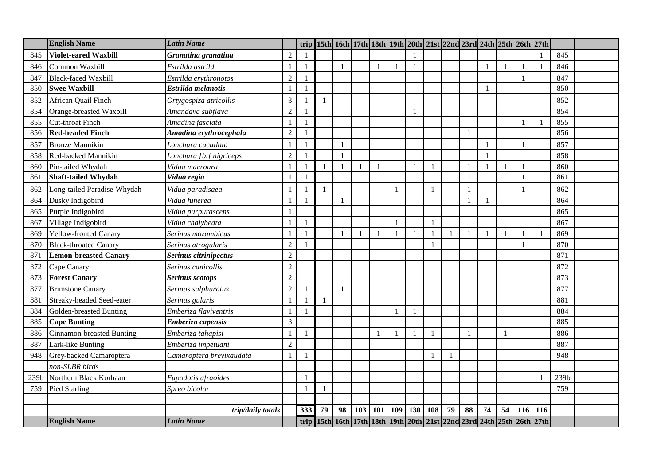|      | <b>English Name</b>          | <b>Latin Name</b>        |                | trip         |    |    |     |     |              |                |              |                |                          |    |              | 15th   16th   17th   18th   19th   20th   21st   22nd   23rd   24th   25th   26th   27th |     |      |  |
|------|------------------------------|--------------------------|----------------|--------------|----|----|-----|-----|--------------|----------------|--------------|----------------|--------------------------|----|--------------|------------------------------------------------------------------------------------------|-----|------|--|
| 845  | <b>Violet-eared Waxbill</b>  | Granatina granatina      | $\overline{2}$ |              |    |    |     |     |              |                |              |                |                          |    |              |                                                                                          |     | 845  |  |
| 846  | Common Waxbill               | Estrilda astrild         |                | $\mathbf{1}$ |    |    |     |     |              |                |              |                |                          |    | $\mathbf{1}$ |                                                                                          |     | 846  |  |
| 847  | <b>Black-faced Waxbill</b>   | Estrilda erythronotos    | $\overline{2}$ |              |    |    |     |     |              |                |              |                |                          |    |              |                                                                                          |     | 847  |  |
| 850  | <b>Swee Waxbill</b>          | Estrilda melanotis       |                | $\mathbf{1}$ |    |    |     |     |              |                |              |                |                          |    |              |                                                                                          |     | 850  |  |
| 852  | African Quail Finch          | Ortygospiza atricollis   | 3              |              |    |    |     |     |              |                |              |                |                          |    |              |                                                                                          |     | 852  |  |
| 854  | Orange-breasted Waxbill      | Amandava subflava        | $\overline{2}$ |              |    |    |     |     |              |                |              |                |                          |    |              |                                                                                          |     | 854  |  |
| 855  | Cut-throat Finch             | Amadina fasciata         |                |              |    |    |     |     |              |                |              |                |                          |    |              |                                                                                          |     | 855  |  |
| 856  | <b>Red-headed Finch</b>      | Amadina erythrocephala   | $\overline{2}$ |              |    |    |     |     |              |                |              |                | $\mathbf{1}$             |    |              |                                                                                          |     | 856  |  |
| 857  | <b>Bronze Mannikin</b>       | Lonchura cucullata       |                |              |    |    |     |     |              |                |              |                |                          |    |              |                                                                                          |     | 857  |  |
| 858  | Red-backed Mannikin          | Lonchura [b.] nigriceps  | $\overline{2}$ |              |    |    |     |     |              |                |              |                |                          |    |              |                                                                                          |     | 858  |  |
| 860  | Pin-tailed Whydah            | Vidua macroura           |                |              |    |    |     |     |              |                | $\mathbf{1}$ |                | $\overline{\phantom{a}}$ |    | $\mathbf{1}$ |                                                                                          |     | 860  |  |
| 861  | <b>Shaft-tailed Whydah</b>   | Vidua regia              |                | $\mathbf{1}$ |    |    |     |     |              |                |              |                | $\mathbf{1}$             |    |              |                                                                                          |     | 861  |  |
| 862  | Long-tailed Paradise-Whydah  | Vidua paradisaea         |                |              |    |    |     |     | 1            |                | 1            |                | $\overline{1}$           |    |              |                                                                                          |     | 862  |  |
| 864  | Dusky Indigobird             | Vidua funerea            |                |              |    |    |     |     |              |                |              |                |                          |    |              |                                                                                          |     | 864  |  |
| 865  | Purple Indigobird            | Vidua purpurascens       |                |              |    |    |     |     |              |                |              |                |                          |    |              |                                                                                          |     | 865  |  |
| 867  | Village Indigobird           | Vidua chalybeata         |                |              |    |    |     |     |              |                | $\mathbf{1}$ |                |                          |    |              |                                                                                          |     | 867  |  |
| 869  | <b>Yellow-fronted Canary</b> | Serinus mozambicus       |                |              |    |    |     |     | $\mathbf{1}$ | $\overline{1}$ | $\mathbf{1}$ | $\blacksquare$ |                          |    | $\mathbf{1}$ |                                                                                          |     | 869  |  |
| 870  | <b>Black-throated Canary</b> | Serinus atrogularis      | $\overline{2}$ |              |    |    |     |     |              |                | $\mathbf{1}$ |                |                          |    |              |                                                                                          |     | 870  |  |
| 871  | <b>Lemon-breasted Canary</b> | Serinus citrinipectus    | $\overline{2}$ |              |    |    |     |     |              |                |              |                |                          |    |              |                                                                                          |     | 871  |  |
| 872  | Cape Canary                  | Serinus canicollis       | $\overline{2}$ |              |    |    |     |     |              |                |              |                |                          |    |              |                                                                                          |     | 872  |  |
| 873  | <b>Forest Canary</b>         | Serinus scotops          | $\overline{2}$ |              |    |    |     |     |              |                |              |                |                          |    |              |                                                                                          |     | 873  |  |
| 877  | <b>Brimstone Canary</b>      | Serinus sulphuratus      | $\overline{2}$ |              |    |    |     |     |              |                |              |                |                          |    |              |                                                                                          |     | 877  |  |
| 881  | Streaky-headed Seed-eater    | Serinus gularis          |                |              |    |    |     |     |              |                |              |                |                          |    |              |                                                                                          |     | 881  |  |
| 884  | Golden-breasted Bunting      | Emberiza flaviventris    |                |              |    |    |     |     |              |                |              |                |                          |    |              |                                                                                          |     | 884  |  |
| 885  | <b>Cape Bunting</b>          | Emberiza capensis        | 3              |              |    |    |     |     |              |                |              |                |                          |    |              |                                                                                          |     | 885  |  |
| 886  | Cinnamon-breasted Bunting    | Emberiza tahapisi        |                | $\mathbf{1}$ |    |    |     |     |              |                | $\mathbf{1}$ |                | $\mathbf{1}$             |    | $\mathbf{1}$ |                                                                                          |     | 886  |  |
| 887  | Lark-like Bunting            | Emberiza impetuani       | $\overline{2}$ |              |    |    |     |     |              |                |              |                |                          |    |              |                                                                                          |     | 887  |  |
| 948  | Grey-backed Camaroptera      | Camaroptera brevixaudata |                |              |    |    |     |     |              |                | $\mathbf{1}$ |                |                          |    |              |                                                                                          |     | 948  |  |
|      | non-SLBR birds               |                          |                |              |    |    |     |     |              |                |              |                |                          |    |              |                                                                                          |     |      |  |
| 239b | Northern Black Korhaan       | Eupodotis afraoides      |                |              |    |    |     |     |              |                |              |                |                          |    |              |                                                                                          |     | 239b |  |
| 759  | <b>Pied Starling</b>         | Spreo bicolor            |                |              |    |    |     |     |              |                |              |                |                          |    |              |                                                                                          |     | 759  |  |
|      |                              |                          |                |              |    |    |     |     |              |                |              |                |                          |    |              |                                                                                          |     |      |  |
|      |                              | trip/daily totals        |                | 333          | 79 | 98 | 103 | 101 | 109          | 130            | 108          | 79             | 88                       | 74 | 54           | 116                                                                                      | 116 |      |  |
|      | <b>English Name</b>          | <b>Latin Name</b>        |                |              |    |    |     |     |              |                |              |                |                          |    |              | trip 15th 16th 17th 18th 19th 20th 21st 22nd 23rd 24th 25th 26th 27th                    |     |      |  |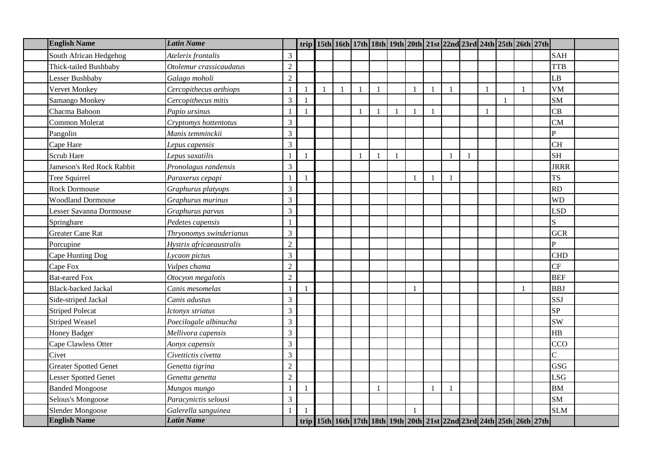| <b>English Name</b>          | <b>Latin Name</b>        |                |              |  |              |              |              |              |  |                | trip   15th   16th   17th   18th   19th   20th   21st   22nd   23rd   24th   25th   26th   27th |                |  |
|------------------------------|--------------------------|----------------|--------------|--|--------------|--------------|--------------|--------------|--|----------------|-------------------------------------------------------------------------------------------------|----------------|--|
| South African Hedgehog       | Atelerix frontalis       | 3              |              |  |              |              |              |              |  |                |                                                                                                 | <b>SAH</b>     |  |
| Thick-tailed Bushbaby        | Otolemur crassicaudatus  | $\sqrt{2}$     |              |  |              |              |              |              |  |                |                                                                                                 | <b>TTB</b>     |  |
| Lesser Bushbaby              | Galago moholi            | $\overline{2}$ |              |  |              |              |              |              |  |                |                                                                                                 | LB             |  |
| Vervet Monkey                | Cercopithecus aethiops   | $\mathbf{1}$   | $\mathbf{1}$ |  | $\mathbf{1}$ |              |              |              |  |                |                                                                                                 | <b>VM</b>      |  |
| Samango Monkey               | Cercopithecus mitis      | $\mathfrak{Z}$ |              |  |              |              |              |              |  | $\overline{1}$ |                                                                                                 | <b>SM</b>      |  |
| Chacma Baboon                | Papio ursinus            |                |              |  | 1            | $\mathbf{1}$ |              | $\mathbf{1}$ |  |                |                                                                                                 | CB             |  |
| Common Molerat               | Cryptomys hottentotus    | 3              |              |  |              |              |              |              |  |                |                                                                                                 | <b>CM</b>      |  |
| Pangolin                     | Manis temminckii         | $\overline{3}$ |              |  |              |              |              |              |  |                |                                                                                                 | $\mathbf{P}$   |  |
| Cape Hare                    | Lepus capensis           | $\overline{3}$ |              |  |              |              |              |              |  |                |                                                                                                 | <b>CH</b>      |  |
| Scrub Hare                   | Lepus saxatilis          | $\blacksquare$ | $\mathbf{1}$ |  | $\mathbf{1}$ | $\mathbf{1}$ |              |              |  |                |                                                                                                 | <b>SH</b>      |  |
| Jameson's Red Rock Rabbit    | Pronolagus randensis     | $\overline{3}$ |              |  |              |              |              |              |  |                |                                                                                                 | <b>JRRR</b>    |  |
| Tree Squirrel                | Paraxerus cepapi         | $\overline{1}$ |              |  |              |              |              | $\mathbf{1}$ |  |                |                                                                                                 | <b>TS</b>      |  |
| <b>Rock Dormouse</b>         | Graphurus platyops       | $\mathfrak{Z}$ |              |  |              |              |              |              |  |                |                                                                                                 | <b>RD</b>      |  |
| <b>Woodland Dormouse</b>     | Graphurus murinus        | $\overline{3}$ |              |  |              |              |              |              |  |                |                                                                                                 | <b>WD</b>      |  |
| Lesser Savanna Dormouse      | Graphurus parvus         | $\overline{3}$ |              |  |              |              |              |              |  |                |                                                                                                 | <b>LSD</b>     |  |
| Springhare                   | Pedetes capensis         |                |              |  |              |              |              |              |  |                |                                                                                                 | $\overline{S}$ |  |
| <b>Greater Cane Rat</b>      | Thryonomys swinderianus  | 3              |              |  |              |              |              |              |  |                |                                                                                                 | <b>GCR</b>     |  |
| Porcupine                    | Hystrix africaeaustralis | $\overline{2}$ |              |  |              |              |              |              |  |                |                                                                                                 | $\mathbf{p}$   |  |
| Cape Hunting Dog             | Lycaon pictus            | $\overline{3}$ |              |  |              |              |              |              |  |                |                                                                                                 | <b>CHD</b>     |  |
| Cape Fox                     | Vulpes chama             | $\sqrt{2}$     |              |  |              |              |              |              |  |                |                                                                                                 | CF             |  |
| <b>Bat-eared Fox</b>         | Otocyon megalotis        | $\overline{2}$ |              |  |              |              |              |              |  |                |                                                                                                 | <b>BEF</b>     |  |
| <b>Black-backed Jackal</b>   | Canis mesomelas          | $\overline{1}$ | 1            |  |              |              | $\mathbf{1}$ |              |  |                |                                                                                                 | <b>BBJ</b>     |  |
| Side-striped Jackal          | Canis adustus            | 3              |              |  |              |              |              |              |  |                |                                                                                                 | SSJ            |  |
| <b>Striped Polecat</b>       | Ictonyx striatus         | $\overline{3}$ |              |  |              |              |              |              |  |                |                                                                                                 | <b>SP</b>      |  |
| <b>Striped Weasel</b>        | Poecilogale albinucha    | $\overline{3}$ |              |  |              |              |              |              |  |                |                                                                                                 | <b>SW</b>      |  |
| <b>Honey Badger</b>          | Mellivora capensis       | $\mathfrak{Z}$ |              |  |              |              |              |              |  |                |                                                                                                 | HB             |  |
| Cape Clawless Otter          | Aonyx capensis           | $\overline{3}$ |              |  |              |              |              |              |  |                |                                                                                                 | CCO            |  |
| Civet                        | Civettictis civetta      | $\overline{3}$ |              |  |              |              |              |              |  |                |                                                                                                 | $\overline{C}$ |  |
| <b>Greater Spotted Genet</b> | Genetta tigrina          | $\sqrt{2}$     |              |  |              |              |              |              |  |                |                                                                                                 | <b>GSG</b>     |  |
| <b>Lesser Spotted Genet</b>  | Genetta genetta          | $\overline{2}$ |              |  |              |              |              |              |  |                |                                                                                                 | <b>LSG</b>     |  |
| <b>Banded Mongoose</b>       | Mungos mungo             |                |              |  |              |              |              |              |  |                |                                                                                                 | <b>BM</b>      |  |
| Selous's Mongoose            | Paracynictis selousi     | $\mathfrak{Z}$ |              |  |              |              |              |              |  |                |                                                                                                 | <b>SM</b>      |  |
| Slender Mongoose             | Galerella sanguinea      |                |              |  |              |              |              |              |  |                |                                                                                                 | <b>SLM</b>     |  |
| <b>English Name</b>          | <b>Latin Name</b>        |                |              |  |              |              |              |              |  |                | trip   15th   16th   17th   18th   19th   20th   21st   22nd   23rd   24th   25th   26th   27th |                |  |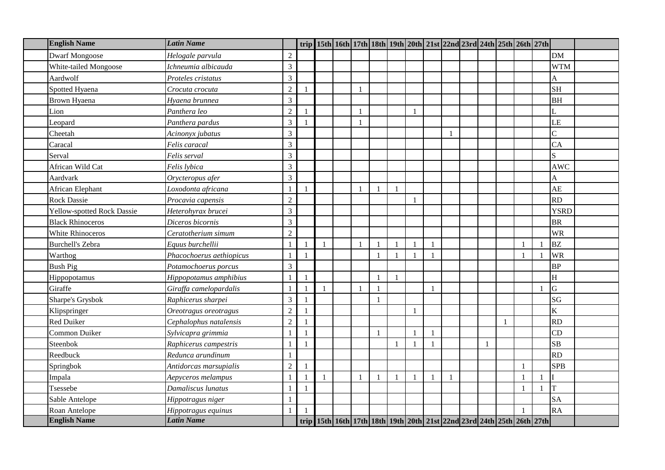| <b>English Name</b>        | <b>Latin Name</b>        |                          |                |              |              |                |                |   |              |  |              | trip 15th 16th 17th 18th 19th 20th 21st 22nd 23rd 24th 25th 26th 27th |                           |  |
|----------------------------|--------------------------|--------------------------|----------------|--------------|--------------|----------------|----------------|---|--------------|--|--------------|-----------------------------------------------------------------------|---------------------------|--|
| <b>Dwarf Mongoose</b>      | Helogale parvula         | $\mathfrak{2}$           |                |              |              |                |                |   |              |  |              |                                                                       | <b>DM</b>                 |  |
| White-tailed Mongoose      | Ichneumia albicauda      | 3                        |                |              |              |                |                |   |              |  |              |                                                                       | <b>WTM</b>                |  |
| Aardwolf                   | Proteles cristatus       | 3                        |                |              |              |                |                |   |              |  |              |                                                                       | A                         |  |
| Spotted Hyaena             | Crocuta crocuta          | $\overline{c}$           |                |              | $\mathbf{1}$ |                |                |   |              |  |              |                                                                       | <b>SH</b>                 |  |
| Brown Hyaena               | Hyaena brunnea           | 3                        |                |              |              |                |                |   |              |  |              |                                                                       | <b>BH</b>                 |  |
| Lion                       | Panthera leo             | $\sqrt{2}$               |                |              | $\mathbf{1}$ |                |                |   |              |  |              |                                                                       |                           |  |
| Leopard                    | Panthera pardus          | $\mathfrak{Z}$           |                |              | $\mathbf{1}$ |                |                |   |              |  |              |                                                                       | LE                        |  |
| Cheetah                    | Acinonyx jubatus         | 3                        |                |              |              |                |                |   |              |  |              |                                                                       | $\overline{C}$            |  |
| Caracal                    | Felis caracal            | 3                        |                |              |              |                |                |   |              |  |              |                                                                       | CA                        |  |
| Serval                     | Felis serval             | 3                        |                |              |              |                |                |   |              |  |              |                                                                       | $\overline{S}$            |  |
| African Wild Cat           | Felis lybica             | 3                        |                |              |              |                |                |   |              |  |              |                                                                       | <b>AWC</b>                |  |
| Aardvark                   | Orycteropus afer         | 3                        |                |              |              |                |                |   |              |  |              |                                                                       | A                         |  |
| African Elephant           | Loxodonta africana       | $\mathbf{1}$             |                |              | $\mathbf{1}$ |                | $\overline{1}$ |   |              |  |              |                                                                       | AE                        |  |
| <b>Rock Dassie</b>         | Procavia capensis        | $\sqrt{2}$               |                |              |              |                |                |   |              |  |              |                                                                       | <b>RD</b>                 |  |
| Yellow-spotted Rock Dassie | Heterohyrax brucei       | 3                        |                |              |              |                |                |   |              |  |              |                                                                       | <b>YSRD</b>               |  |
| <b>Black Rhinoceros</b>    | Diceros bicornis         | 3                        |                |              |              |                |                |   |              |  |              |                                                                       | <b>BR</b>                 |  |
| <b>White Rhinoceros</b>    | Ceratotherium simum      | $\overline{c}$           |                |              |              |                |                |   |              |  |              |                                                                       | <b>WR</b>                 |  |
| <b>Burchell's Zebra</b>    | Equus burchellii         |                          |                |              | $\mathbf{1}$ |                |                |   |              |  |              |                                                                       | <b>BZ</b>                 |  |
| Warthog                    | Phacochoerus aethiopicus | $\overline{1}$           | $\overline{1}$ |              |              | $\overline{1}$ | $\mathbf{1}$   |   | $\mathbf{1}$ |  |              |                                                                       | <b>WR</b>                 |  |
| <b>Bush Pig</b>            | Potamochoerus porcus     | 3                        |                |              |              |                |                |   |              |  |              |                                                                       | <b>BP</b>                 |  |
| Hippopotamus               | Hippopotamus amphibius   | $\overline{\phantom{a}}$ |                |              |              | $\mathbf{1}$   | $\overline{1}$ |   |              |  |              |                                                                       | $\boldsymbol{\mathrm{H}}$ |  |
| Giraffe                    | Giraffa camelopardalis   |                          |                |              | $\mathbf{1}$ |                |                |   | $\mathbf{1}$ |  |              |                                                                       | G                         |  |
| Sharpe's Grysbok           | Raphicerus sharpei       | 3                        |                |              |              | $\mathbf{1}$   |                |   |              |  |              |                                                                       | SG                        |  |
| Klipspringer               | Oreotragus oreotragus    | $\overline{c}$           |                |              |              |                |                |   |              |  |              |                                                                       | $\rm K$                   |  |
| <b>Red Duiker</b>          | Cephalophus natalensis   | $\overline{c}$           |                |              |              |                |                |   |              |  | $\mathbf{1}$ |                                                                       | <b>RD</b>                 |  |
| Common Duiker              | Sylvicapra grimmia       | $\overline{1}$           | $\overline{1}$ |              |              | $\mathbf{1}$   |                |   | $\mathbf{1}$ |  |              |                                                                       | CD                        |  |
| Steenbok                   | Raphicerus campestris    | $\overline{1}$           | $\overline{1}$ |              |              |                |                |   |              |  |              |                                                                       | SB                        |  |
| Reedbuck                   | Redunca arundinum        |                          |                |              |              |                |                |   |              |  |              |                                                                       | <b>RD</b>                 |  |
| Springbok                  | Antidorcas marsupialis   | $\overline{c}$           |                |              |              |                |                |   |              |  |              |                                                                       | <b>SPB</b>                |  |
| Impala                     | Aepyceros melampus       | $\overline{1}$           | $\overline{1}$ | $\mathbf{1}$ | $\mathbf{1}$ | $\blacksquare$ | $\mathbf{1}$   | 1 | $\mathbf{1}$ |  |              | $\overline{1}$                                                        |                           |  |
| Tsessebe                   | Damaliscus lunatus       |                          |                |              |              |                |                |   |              |  |              |                                                                       | T                         |  |
| Sable Antelope             | Hippotragus niger        |                          |                |              |              |                |                |   |              |  |              |                                                                       | <b>SA</b>                 |  |
| Roan Antelope              | Hippotragus equinus      |                          |                |              |              |                |                |   |              |  |              |                                                                       | <b>RA</b>                 |  |
| <b>English Name</b>        | <b>Latin Name</b>        |                          |                |              |              |                |                |   |              |  |              | trip 15th 16th 17th 18th 19th 20th 21st 22nd 23rd 24th 25th 26th 27th |                           |  |